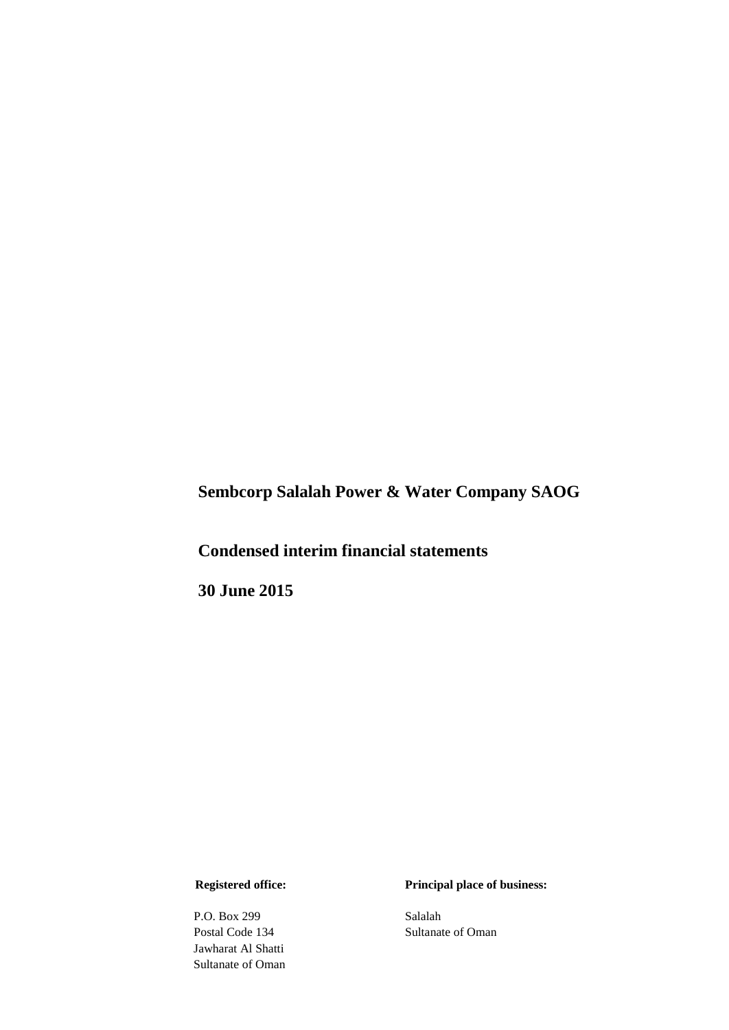**Sembcorp Salalah Power & Water Company SAOG** 

# **Condensed interim financial statements**

**30 June 2015**

P.O. Box 299 Salalah<br>Postal Code 134 Sultanat Jawharat Al Shatti Sultanate of Oman

 **Registered office: Principal place of business:**

Sultanate of Oman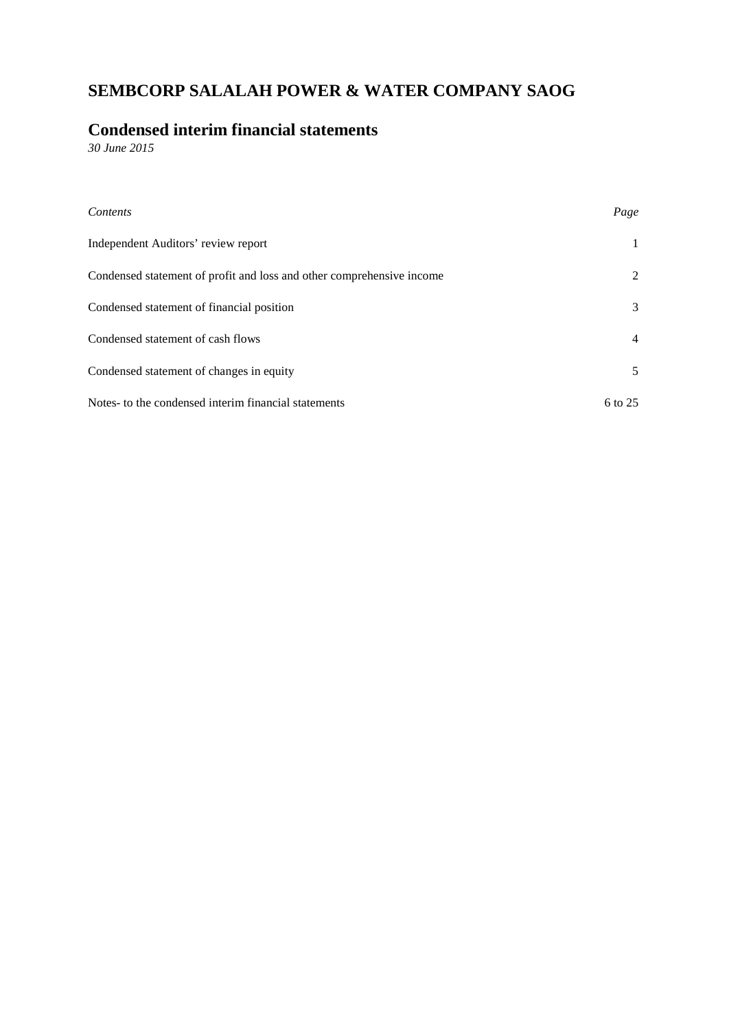## **Condensed interim financial statements**

*30 June 2015*

| Contents                                                              | Page               |
|-----------------------------------------------------------------------|--------------------|
| Independent Auditors' review report                                   | $\mathbf{1}$       |
| Condensed statement of profit and loss and other comprehensive income | 2                  |
| Condensed statement of financial position                             | 3                  |
| Condensed statement of cash flows                                     | $\overline{4}$     |
| Condensed statement of changes in equity                              | 5                  |
| Notes- to the condensed interim financial statements                  | $6 \text{ to } 25$ |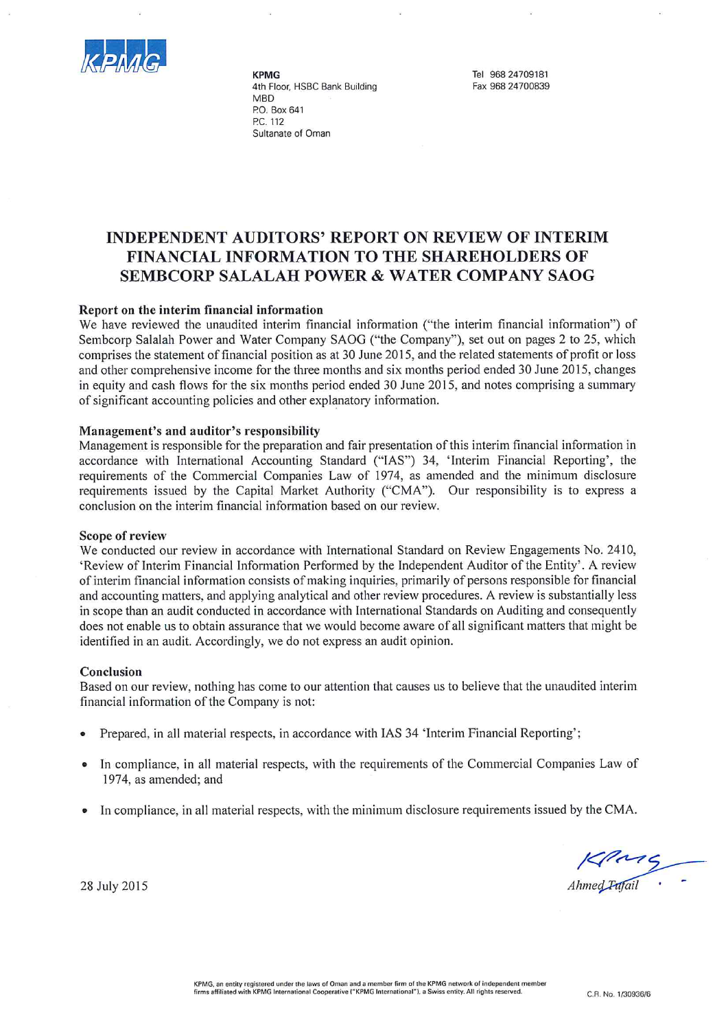

**KPMG** 4th Floor, HSBC Bank Building **MBD** P.O. Box 641 PC 112 Sultanate of Oman

Tel 968 24709181 Fax 968 24700839

## **INDEPENDENT AUDITORS' REPORT ON REVIEW OF INTERIM** FINANCIAL INFORMATION TO THE SHAREHOLDERS OF **SEMBCORP SALALAH POWER & WATER COMPANY SAOG**

#### Report on the interim financial information

We have reviewed the unaudited interim financial information ("the interim financial information") of Sembcorp Salalah Power and Water Company SAOG ("the Company"), set out on pages 2 to 25, which comprises the statement of financial position as at 30 June 2015, and the related statements of profit or loss and other comprehensive income for the three months and six months period ended 30 June 2015, changes in equity and cash flows for the six months period ended 30 June 2015, and notes comprising a summary of significant accounting policies and other explanatory information.

#### Management's and auditor's responsibility

Management is responsible for the preparation and fair presentation of this interim financial information in accordance with International Accounting Standard ("IAS") 34, 'Interim Financial Reporting', the requirements of the Commercial Companies Law of 1974, as amended and the minimum disclosure requirements issued by the Capital Market Authority ("CMA"). Our responsibility is to express a conclusion on the interim financial information based on our review.

#### **Scope of review**

We conducted our review in accordance with International Standard on Review Engagements No. 2410, 'Review of Interim Financial Information Performed by the Independent Auditor of the Entity'. A review of interim financial information consists of making inquiries, primarily of persons responsible for financial and accounting matters, and applying analytical and other review procedures. A review is substantially less in scope than an audit conducted in accordance with International Standards on Auditing and consequently does not enable us to obtain assurance that we would become aware of all significant matters that might be identified in an audit. Accordingly, we do not express an audit opinion.

#### Conclusion

Based on our review, nothing has come to our attention that causes us to believe that the unaudited interim financial information of the Company is not:

- Prepared, in all material respects, in accordance with IAS 34 'Interim Financial Reporting';
- In compliance, in all material respects, with the requirements of the Commercial Companies Law of 1974, as amended; and
- In compliance, in all material respects, with the minimum disclosure requirements issued by the CMA.

 $\frac{1}{4}$  Ahmed Pafail

28 July 2015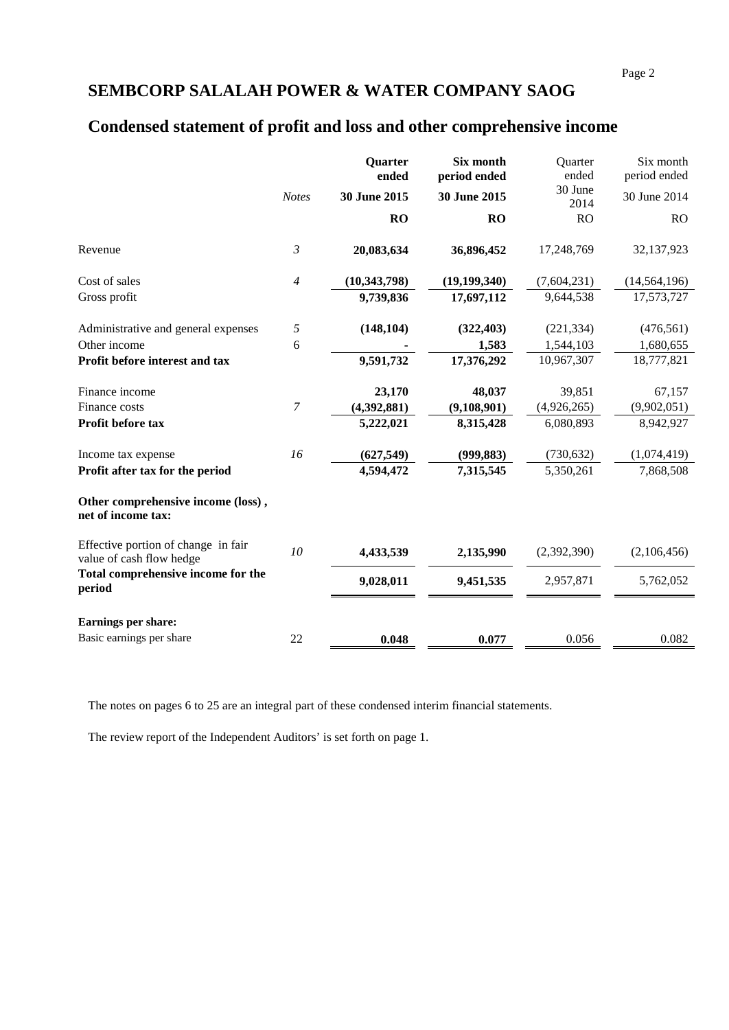# **Condensed statement of profit and loss and other comprehensive income**

|                                                                 |                  | Quarter<br>ended | Six month<br>period ended | Quarter<br>ended | Six month<br>period ended |
|-----------------------------------------------------------------|------------------|------------------|---------------------------|------------------|---------------------------|
|                                                                 | <b>Notes</b>     | 30 June 2015     | 30 June 2015              | 30 June<br>2014  | 30 June 2014              |
|                                                                 |                  | <b>RO</b>        | <b>RO</b>                 | RO               | <b>RO</b>                 |
| Revenue                                                         | 3                | 20,083,634       | 36,896,452                | 17,248,769       | 32,137,923                |
| Cost of sales                                                   | 4                | (10, 343, 798)   | (19, 199, 340)            | (7,604,231)      | (14, 564, 196)            |
| Gross profit                                                    |                  | 9,739,836        | 17,697,112                | 9,644,538        | 17,573,727                |
| Administrative and general expenses                             | 5                | (148, 104)       | (322, 403)                | (221, 334)       | (476, 561)                |
| Other income                                                    | 6                |                  | 1,583                     | 1,544,103        | 1,680,655                 |
| Profit before interest and tax                                  |                  | 9,591,732        | 17,376,292                | 10,967,307       | 18,777,821                |
| Finance income                                                  |                  | 23,170           | 48,037                    | 39,851           | 67,157                    |
| Finance costs                                                   | $\boldsymbol{7}$ | (4,392,881)      | (9,108,901)               | (4,926,265)      | (9,902,051)               |
| Profit before tax                                               |                  | 5,222,021        | 8,315,428                 | 6,080,893        | 8,942,927                 |
| Income tax expense                                              | 16               | (627, 549)       | (999, 883)                | (730, 632)       | (1,074,419)               |
| Profit after tax for the period                                 |                  | 4,594,472        | 7,315,545                 | 5,350,261        | 7,868,508                 |
| Other comprehensive income (loss),<br>net of income tax:        |                  |                  |                           |                  |                           |
| Effective portion of change in fair<br>value of cash flow hedge | 10               | 4,433,539        | 2,135,990                 | (2,392,390)      | (2,106,456)               |
| Total comprehensive income for the<br>period                    |                  | 9,028,011        | 9,451,535                 | 2,957,871        | 5,762,052                 |
| Earnings per share:                                             |                  |                  |                           |                  |                           |
| Basic earnings per share                                        | 22               | 0.048            | 0.077                     | 0.056            | 0.082                     |

The notes on pages 6 to 25 are an integral part of these condensed interim financial statements.

The review report of the Independent Auditors' is set forth on page 1.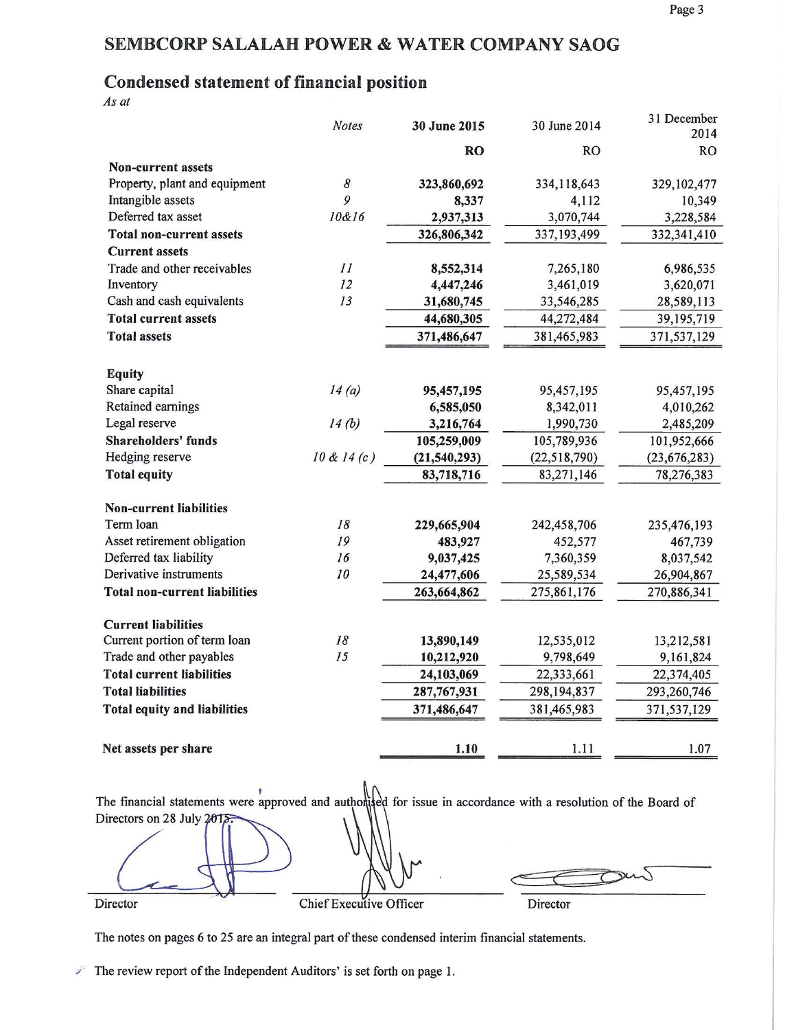# **Condensed statement of financial position**

As at

|                                      | <b>Notes</b> | 30 June 2015   | 30 June 2014   | 31 December<br>2014 |
|--------------------------------------|--------------|----------------|----------------|---------------------|
|                                      |              | <b>RO</b>      | <b>RO</b>      | <b>RO</b>           |
| <b>Non-current assets</b>            |              |                |                |                     |
| Property, plant and equipment        | 8            | 323,860,692    | 334,118,643    | 329,102,477         |
| Intangible assets                    | 9            | 8,337          | 4,112          | 10,349              |
| Deferred tax asset                   | 10&16        | 2,937,313      | 3,070,744      | 3,228,584           |
| <b>Total non-current assets</b>      |              | 326,806,342    | 337,193,499    | 332,341,410         |
| <b>Current assets</b>                |              |                |                |                     |
| Trade and other receivables          | II           | 8,552,314      | 7,265,180      | 6,986,535           |
| Inventory                            | 12           | 4,447,246      | 3,461,019      | 3,620,071           |
| Cash and cash equivalents            | 13           | 31,680,745     | 33,546,285     | 28,589,113          |
| <b>Total current assets</b>          |              | 44,680,305     | 44,272,484     | 39, 195, 719        |
| <b>Total assets</b>                  |              | 371,486,647    | 381,465,983    | 371,537,129         |
|                                      |              |                |                |                     |
| <b>Equity</b>                        |              |                |                |                     |
| Share capital                        | 14(a)        | 95,457,195     | 95,457,195     | 95,457,195          |
| Retained earnings                    |              | 6,585,050      | 8,342,011      | 4,010,262           |
| Legal reserve                        | 14(b)        | 3,216,764      | 1,990,730      | 2,485,209           |
| <b>Shareholders' funds</b>           |              | 105,259,009    | 105,789,936    | 101,952,666         |
| Hedging reserve                      | 10 & 14(c)   | (21, 540, 293) | (22, 518, 790) | (23, 676, 283)      |
| <b>Total equity</b>                  |              | 83,718,716     | 83,271,146     | 78,276,383          |
| <b>Non-current liabilities</b>       |              |                |                |                     |
| Term loan                            | 18           | 229,665,904    | 242,458,706    | 235,476,193         |
| Asset retirement obligation          | 19           | 483,927        | 452,577        | 467,739             |
| Deferred tax liability               | 16           | 9,037,425      | 7,360,359      | 8,037,542           |
| Derivative instruments               | 10           | 24,477,606     | 25,589,534     | 26,904,867          |
| <b>Total non-current liabilities</b> |              | 263,664,862    | 275,861,176    | 270,886,341         |
| <b>Current liabilities</b>           |              |                |                |                     |
| Current portion of term loan         | 18           | 13,890,149     | 12,535,012     | 13,212,581          |
| Trade and other payables             | 15           | 10,212,920     | 9,798,649      | 9,161,824           |
| <b>Total current liabilities</b>     |              | 24,103,069     | 22,333,661     | 22,374,405          |
| <b>Total liabilities</b>             |              | 287,767,931    | 298,194,837    | 293,260,746         |
| <b>Total equity and liabilities</b>  |              | 371,486,647    | 381,465,983    | 371,537,129         |
|                                      |              |                |                |                     |
| Net assets per share                 |              | 1.10           | 1.11           | 1.07                |

The financial statements were approved and authorised for issue in accordance with a resolution of the Board of Directors on 28 July 20 7 Director Chief Executive Officer Director

The notes on pages 6 to 25 are an integral part of these condensed interim financial statements.

 $\mathbb{Z}$  The review report of the Independent Auditors' is set forth on page 1.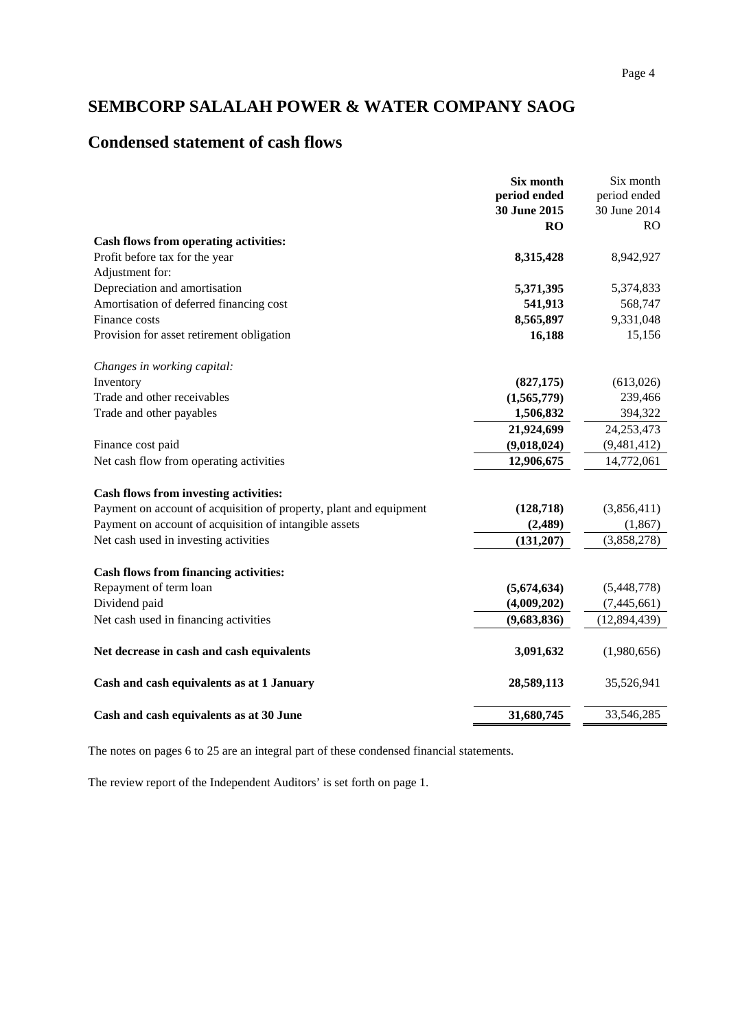## **Condensed statement of cash flows**

|                                                                    | Six month<br>period ended | Six month<br>period ended |
|--------------------------------------------------------------------|---------------------------|---------------------------|
|                                                                    | 30 June 2015              | 30 June 2014              |
|                                                                    | RO                        | <b>RO</b>                 |
| Cash flows from operating activities:                              |                           |                           |
| Profit before tax for the year                                     | 8,315,428                 | 8,942,927                 |
| Adjustment for:                                                    |                           |                           |
| Depreciation and amortisation                                      | 5,371,395                 | 5,374,833                 |
| Amortisation of deferred financing cost                            | 541,913                   | 568,747                   |
| Finance costs                                                      | 8,565,897                 | 9,331,048                 |
| Provision for asset retirement obligation                          | 16,188                    | 15,156                    |
| Changes in working capital:                                        |                           |                           |
| Inventory                                                          | (827, 175)                | (613,026)                 |
| Trade and other receivables                                        | (1,565,779)               | 239,466                   |
| Trade and other payables                                           | 1,506,832                 | 394,322                   |
|                                                                    | 21,924,699                | 24, 253, 473              |
| Finance cost paid                                                  | (9,018,024)               | (9,481,412)               |
| Net cash flow from operating activities                            | 12,906,675                | 14,772,061                |
| Cash flows from investing activities:                              |                           |                           |
| Payment on account of acquisition of property, plant and equipment | (128, 718)                | (3,856,411)               |
| Payment on account of acquisition of intangible assets             | (2, 489)                  | (1, 867)                  |
| Net cash used in investing activities                              | (131, 207)                | (3,858,278)               |
| <b>Cash flows from financing activities:</b>                       |                           |                           |
| Repayment of term loan                                             | (5,674,634)               | (5,448,778)               |
| Dividend paid                                                      | (4,009,202)               | (7, 445, 661)             |
| Net cash used in financing activities                              | (9,683,836)               | (12, 894, 439)            |
| Net decrease in cash and cash equivalents                          | 3,091,632                 | (1,980,656)               |
| Cash and cash equivalents as at 1 January                          | 28,589,113                | 35,526,941                |
| Cash and cash equivalents as at 30 June                            | 31,680,745                | 33,546,285                |

The notes on pages 6 to 25 are an integral part of these condensed financial statements.

The review report of the Independent Auditors' is set forth on page 1.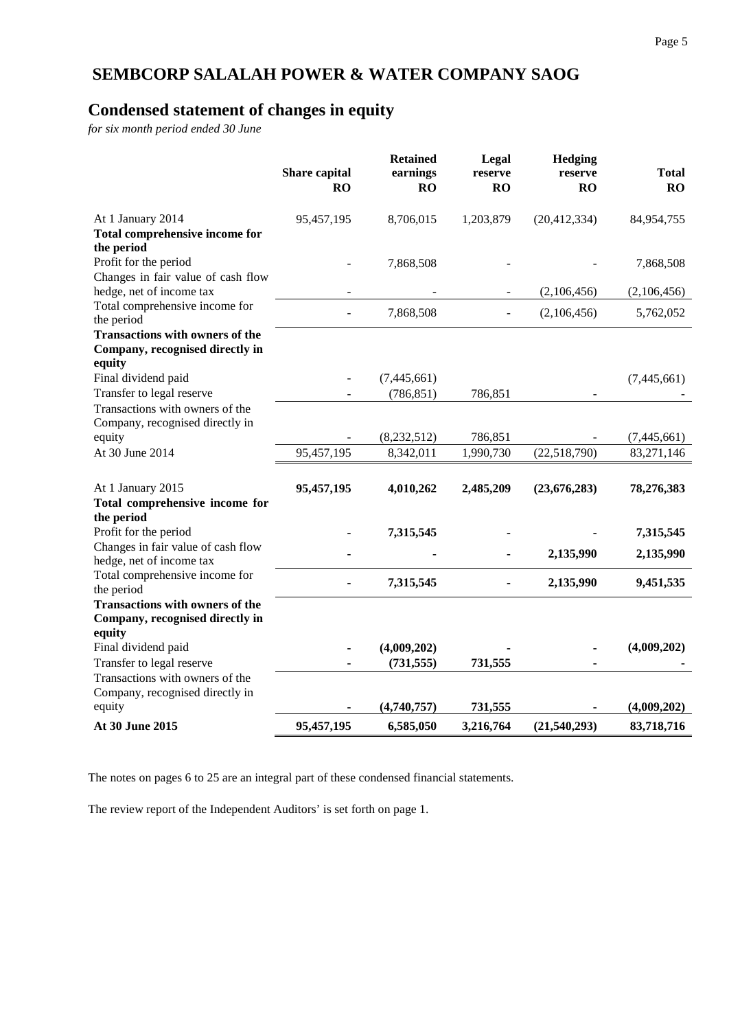# **Condensed statement of changes in equity**

*for six month period ended 30 June*

|                                                                           | Share capital<br>RO | <b>Retained</b><br>earnings<br>RO | Legal<br>reserve<br>RO | Hedging<br>reserve<br><b>RO</b> | <b>Total</b><br>RO |
|---------------------------------------------------------------------------|---------------------|-----------------------------------|------------------------|---------------------------------|--------------------|
| At 1 January 2014<br>Total comprehensive income for<br>the period         | 95,457,195          | 8,706,015                         | 1,203,879              | (20, 412, 334)                  | 84,954,755         |
| Profit for the period<br>Changes in fair value of cash flow               |                     | 7,868,508                         |                        |                                 | 7,868,508          |
| hedge, net of income tax                                                  |                     |                                   |                        | (2,106,456)                     | (2,106,456)        |
| Total comprehensive income for<br>the period                              |                     | 7,868,508                         |                        | (2,106,456)                     | 5,762,052          |
| <b>Transactions with owners of the</b><br>Company, recognised directly in |                     |                                   |                        |                                 |                    |
| equity<br>Final dividend paid                                             |                     | (7,445,661)                       |                        |                                 | (7,445,661)        |
| Transfer to legal reserve                                                 |                     | (786, 851)                        | 786,851                |                                 |                    |
| Transactions with owners of the<br>Company, recognised directly in        |                     |                                   |                        |                                 |                    |
| equity                                                                    |                     | (8, 232, 512)                     | 786,851                |                                 | (7,445,661)        |
| At 30 June 2014                                                           | 95,457,195          | 8,342,011                         | 1,990,730              | (22,518,790)                    | 83,271,146         |
| At 1 January 2015                                                         | 95,457,195          | 4,010,262                         | 2,485,209              | (23, 676, 283)                  | 78,276,383         |
| Total comprehensive income for                                            |                     |                                   |                        |                                 |                    |
| the period<br>Profit for the period                                       |                     | 7,315,545                         |                        |                                 | 7,315,545          |
| Changes in fair value of cash flow                                        |                     |                                   |                        | 2,135,990                       | 2,135,990          |
| hedge, net of income tax<br>Total comprehensive income for                |                     |                                   |                        |                                 |                    |
| the period                                                                |                     | 7,315,545                         |                        | 2,135,990                       | 9,451,535          |
| <b>Transactions with owners of the</b>                                    |                     |                                   |                        |                                 |                    |
| Company, recognised directly in<br>equity                                 |                     |                                   |                        |                                 |                    |
| Final dividend paid                                                       |                     | (4,009,202)                       |                        |                                 | (4,009,202)        |
| Transfer to legal reserve                                                 |                     | (731, 555)                        | 731,555                |                                 |                    |
| Transactions with owners of the<br>Company, recognised directly in        |                     |                                   |                        |                                 |                    |
| equity                                                                    |                     | (4,740,757)                       | 731,555                |                                 | (4,009,202)        |
| At 30 June 2015                                                           | 95,457,195          | 6,585,050                         | 3,216,764              | (21,540,293)                    | 83,718,716         |

The notes on pages 6 to 25 are an integral part of these condensed financial statements.

The review report of the Independent Auditors' is set forth on page 1.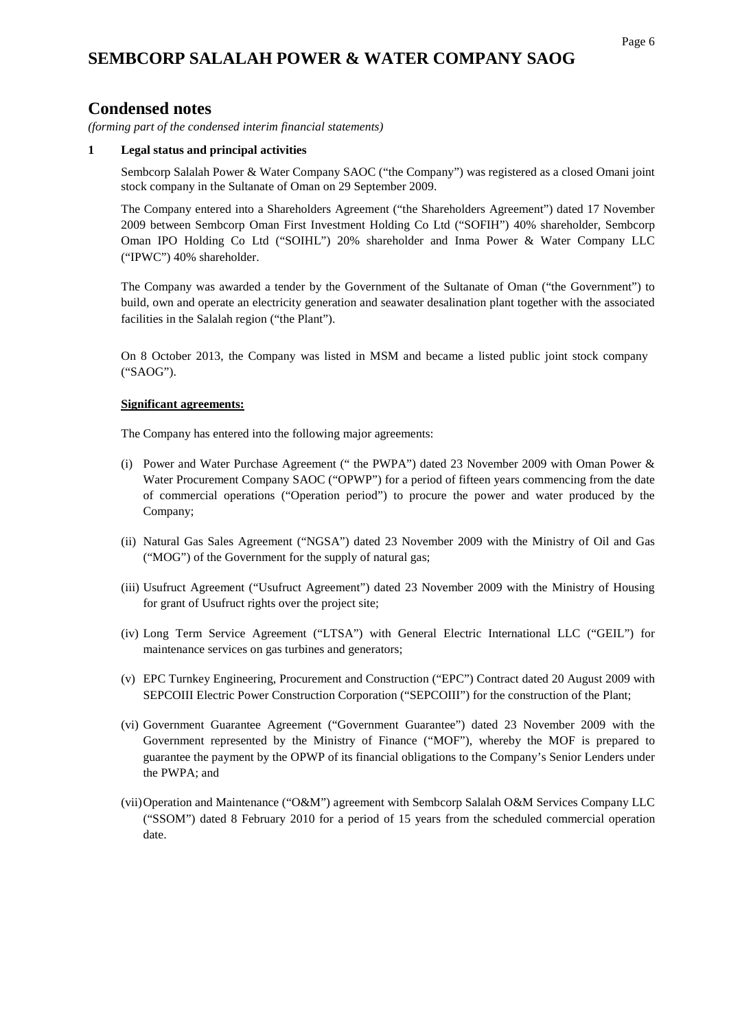### **Condensed notes**

*(forming part of the condensed interim financial statements)*

#### **1 Legal status and principal activities**

Sembcorp Salalah Power & Water Company SAOC ("the Company") was registered as a closed Omani joint stock company in the Sultanate of Oman on 29 September 2009.

The Company entered into a Shareholders Agreement ("the Shareholders Agreement") dated 17 November 2009 between Sembcorp Oman First Investment Holding Co Ltd ("SOFIH") 40% shareholder, Sembcorp Oman IPO Holding Co Ltd ("SOIHL") 20% shareholder and Inma Power & Water Company LLC ("IPWC") 40% shareholder.

The Company was awarded a tender by the Government of the Sultanate of Oman ("the Government") to build, own and operate an electricity generation and seawater desalination plant together with the associated facilities in the Salalah region ("the Plant").

On 8 October 2013, the Company was listed in MSM and became a listed public joint stock company ("SAOG").

#### **Significant agreements:**

The Company has entered into the following major agreements:

- (i) Power and Water Purchase Agreement (" the PWPA") dated 23 November 2009 with Oman Power & Water Procurement Company SAOC ("OPWP") for a period of fifteen years commencing from the date of commercial operations ("Operation period") to procure the power and water produced by the Company;
- (ii) Natural Gas Sales Agreement ("NGSA") dated 23 November 2009 with the Ministry of Oil and Gas ("MOG") of the Government for the supply of natural gas;
- (iii) Usufruct Agreement ("Usufruct Agreement") dated 23 November 2009 with the Ministry of Housing for grant of Usufruct rights over the project site;
- (iv) Long Term Service Agreement ("LTSA") with General Electric International LLC ("GEIL") for maintenance services on gas turbines and generators;
- (v) EPC Turnkey Engineering, Procurement and Construction ("EPC") Contract dated 20 August 2009 with SEPCOIII Electric Power Construction Corporation ("SEPCOIII") for the construction of the Plant;
- (vi) Government Guarantee Agreement ("Government Guarantee") dated 23 November 2009 with the Government represented by the Ministry of Finance ("MOF"), whereby the MOF is prepared to guarantee the payment by the OPWP of its financial obligations to the Company's Senior Lenders under the PWPA; and
- (vii)Operation and Maintenance ("O&M") agreement with Sembcorp Salalah O&M Services Company LLC ("SSOM") dated 8 February 2010 for a period of 15 years from the scheduled commercial operation date.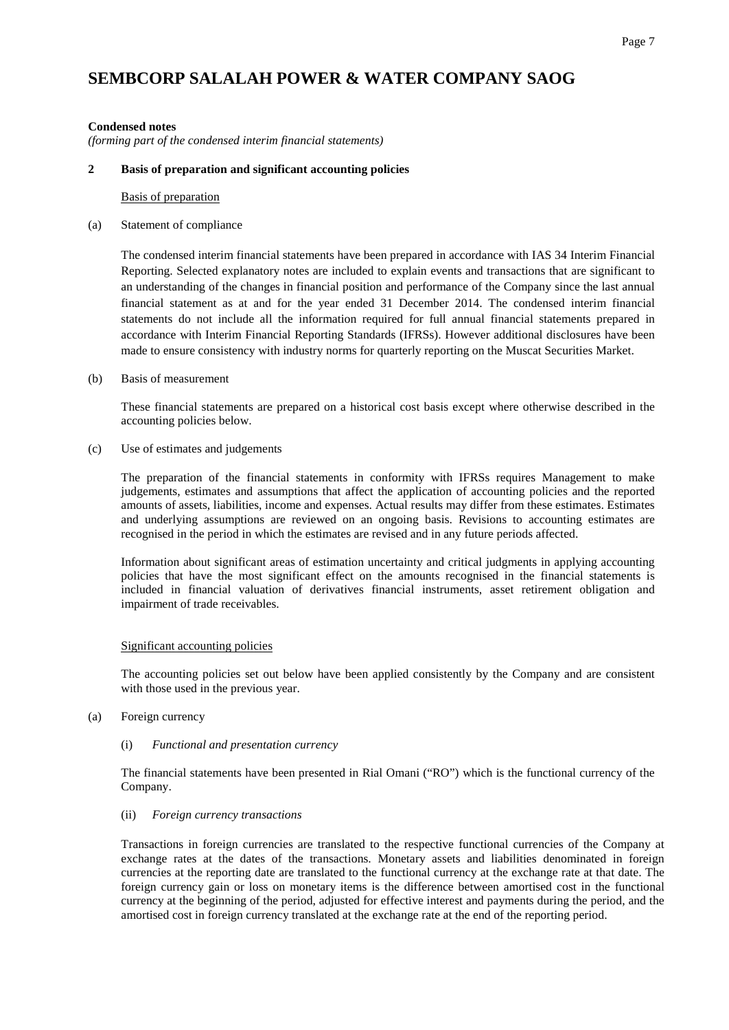#### **Condensed notes**

*(forming part of the condensed interim financial statements)*

#### **2 Basis of preparation and significant accounting policies**

Basis of preparation

#### (a) Statement of compliance

The condensed interim financial statements have been prepared in accordance with IAS 34 Interim Financial Reporting. Selected explanatory notes are included to explain events and transactions that are significant to an understanding of the changes in financial position and performance of the Company since the last annual financial statement as at and for the year ended 31 December 2014. The condensed interim financial statements do not include all the information required for full annual financial statements prepared in accordance with Interim Financial Reporting Standards (IFRSs). However additional disclosures have been made to ensure consistency with industry norms for quarterly reporting on the Muscat Securities Market.

#### (b) Basis of measurement

These financial statements are prepared on a historical cost basis except where otherwise described in the accounting policies below.

(c) Use of estimates and judgements

The preparation of the financial statements in conformity with IFRSs requires Management to make judgements, estimates and assumptions that affect the application of accounting policies and the reported amounts of assets, liabilities, income and expenses. Actual results may differ from these estimates. Estimates and underlying assumptions are reviewed on an ongoing basis. Revisions to accounting estimates are recognised in the period in which the estimates are revised and in any future periods affected.

Information about significant areas of estimation uncertainty and critical judgments in applying accounting policies that have the most significant effect on the amounts recognised in the financial statements is included in financial valuation of derivatives financial instruments, asset retirement obligation and impairment of trade receivables.

#### Significant accounting policies

The accounting policies set out below have been applied consistently by the Company and are consistent with those used in the previous year.

#### (a) Foreign currency

#### (i) *Functional and presentation currency*

The financial statements have been presented in Rial Omani ("RO") which is the functional currency of the Company.

#### (ii) *Foreign currency transactions*

Transactions in foreign currencies are translated to the respective functional currencies of the Company at exchange rates at the dates of the transactions. Monetary assets and liabilities denominated in foreign currencies at the reporting date are translated to the functional currency at the exchange rate at that date. The foreign currency gain or loss on monetary items is the difference between amortised cost in the functional currency at the beginning of the period, adjusted for effective interest and payments during the period, and the amortised cost in foreign currency translated at the exchange rate at the end of the reporting period.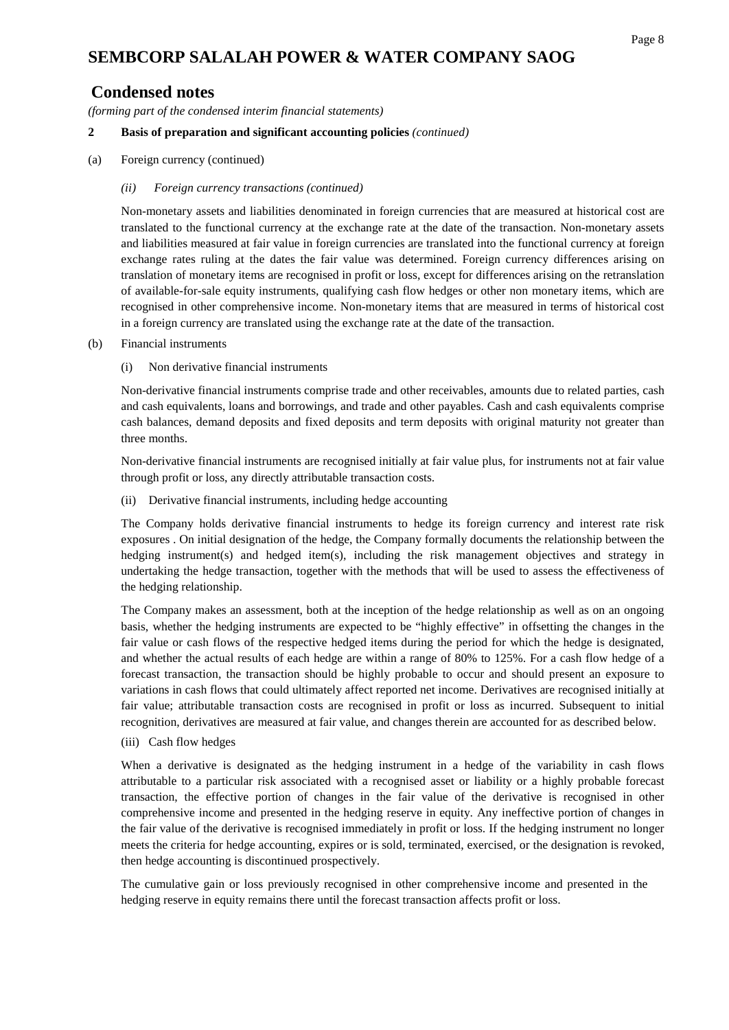### **Condensed notes**

*(forming part of the condensed interim financial statements)*

#### **2 Basis of preparation and significant accounting policies** *(continued)*

(a) Foreign currency (continued)

#### *(ii) Foreign currency transactions (continued)*

Non-monetary assets and liabilities denominated in foreign currencies that are measured at historical cost are translated to the functional currency at the exchange rate at the date of the transaction. Non-monetary assets and liabilities measured at fair value in foreign currencies are translated into the functional currency at foreign exchange rates ruling at the dates the fair value was determined. Foreign currency differences arising on translation of monetary items are recognised in profit or loss, except for differences arising on the retranslation of available-for-sale equity instruments, qualifying cash flow hedges or other non monetary items, which are recognised in other comprehensive income. Non-monetary items that are measured in terms of historical cost in a foreign currency are translated using the exchange rate at the date of the transaction.

- (b) Financial instruments
	- (i) Non derivative financial instruments

Non-derivative financial instruments comprise trade and other receivables, amounts due to related parties, cash and cash equivalents, loans and borrowings, and trade and other payables. Cash and cash equivalents comprise cash balances, demand deposits and fixed deposits and term deposits with original maturity not greater than three months.

Non-derivative financial instruments are recognised initially at fair value plus, for instruments not at fair value through profit or loss, any directly attributable transaction costs.

(ii) Derivative financial instruments, including hedge accounting

The Company holds derivative financial instruments to hedge its foreign currency and interest rate risk exposures . On initial designation of the hedge, the Company formally documents the relationship between the hedging instrument(s) and hedged item(s), including the risk management objectives and strategy in undertaking the hedge transaction, together with the methods that will be used to assess the effectiveness of the hedging relationship.

The Company makes an assessment, both at the inception of the hedge relationship as well as on an ongoing basis, whether the hedging instruments are expected to be "highly effective" in offsetting the changes in the fair value or cash flows of the respective hedged items during the period for which the hedge is designated, and whether the actual results of each hedge are within a range of 80% to 125%. For a cash flow hedge of a forecast transaction, the transaction should be highly probable to occur and should present an exposure to variations in cash flows that could ultimately affect reported net income. Derivatives are recognised initially at fair value; attributable transaction costs are recognised in profit or loss as incurred. Subsequent to initial recognition, derivatives are measured at fair value, and changes therein are accounted for as described below.

(iii) Cash flow hedges

When a derivative is designated as the hedging instrument in a hedge of the variability in cash flows attributable to a particular risk associated with a recognised asset or liability or a highly probable forecast transaction, the effective portion of changes in the fair value of the derivative is recognised in other comprehensive income and presented in the hedging reserve in equity. Any ineffective portion of changes in the fair value of the derivative is recognised immediately in profit or loss. If the hedging instrument no longer meets the criteria for hedge accounting, expires or is sold, terminated, exercised, or the designation is revoked, then hedge accounting is discontinued prospectively.

The cumulative gain or loss previously recognised in other comprehensive income and presented in the hedging reserve in equity remains there until the forecast transaction affects profit or loss.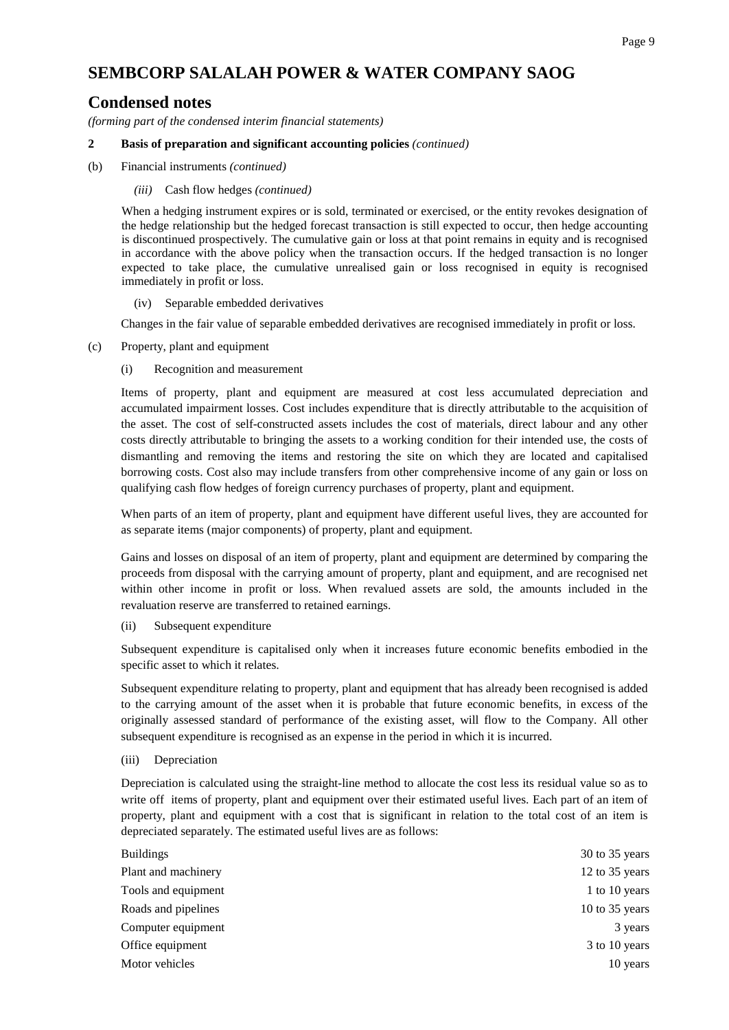#### Page 9

## **SEMBCORP SALALAH POWER & WATER COMPANY SAOG**

### **Condensed notes**

*(forming part of the condensed interim financial statements)*

#### **2 Basis of preparation and significant accounting policies** *(continued)*

(b) Financial instruments *(continued)*

#### *(iii)* Cash flow hedges *(continued)*

When a hedging instrument expires or is sold, terminated or exercised, or the entity revokes designation of the hedge relationship but the hedged forecast transaction is still expected to occur, then hedge accounting is discontinued prospectively. The cumulative gain or loss at that point remains in equity and is recognised in accordance with the above policy when the transaction occurs. If the hedged transaction is no longer expected to take place, the cumulative unrealised gain or loss recognised in equity is recognised immediately in profit or loss.

#### (iv) Separable embedded derivatives

Changes in the fair value of separable embedded derivatives are recognised immediately in profit or loss.

(c) Property, plant and equipment

#### (i) Recognition and measurement

Items of property, plant and equipment are measured at cost less accumulated depreciation and accumulated impairment losses. Cost includes expenditure that is directly attributable to the acquisition of the asset. The cost of self-constructed assets includes the cost of materials, direct labour and any other costs directly attributable to bringing the assets to a working condition for their intended use, the costs of dismantling and removing the items and restoring the site on which they are located and capitalised borrowing costs. Cost also may include transfers from other comprehensive income of any gain or loss on qualifying cash flow hedges of foreign currency purchases of property, plant and equipment.

When parts of an item of property, plant and equipment have different useful lives, they are accounted for as separate items (major components) of property, plant and equipment.

Gains and losses on disposal of an item of property, plant and equipment are determined by comparing the proceeds from disposal with the carrying amount of property, plant and equipment, and are recognised net within other income in profit or loss. When revalued assets are sold, the amounts included in the revaluation reserve are transferred to retained earnings.

#### (ii) Subsequent expenditure

Subsequent expenditure is capitalised only when it increases future economic benefits embodied in the specific asset to which it relates.

Subsequent expenditure relating to property, plant and equipment that has already been recognised is added to the carrying amount of the asset when it is probable that future economic benefits, in excess of the originally assessed standard of performance of the existing asset, will flow to the Company. All other subsequent expenditure is recognised as an expense in the period in which it is incurred.

#### (iii) Depreciation

Depreciation is calculated using the straight-line method to allocate the cost less its residual value so as to write off items of property, plant and equipment over their estimated useful lives. Each part of an item of property, plant and equipment with a cost that is significant in relation to the total cost of an item is depreciated separately. The estimated useful lives are as follows:

| <b>Buildings</b>    | $30$ to 35 years |
|---------------------|------------------|
| Plant and machinery | 12 to 35 years   |
| Tools and equipment | 1 to 10 years    |
| Roads and pipelines | 10 to $35$ years |
| Computer equipment  | 3 years          |
| Office equipment    | 3 to 10 years    |
| Motor vehicles      | 10 years         |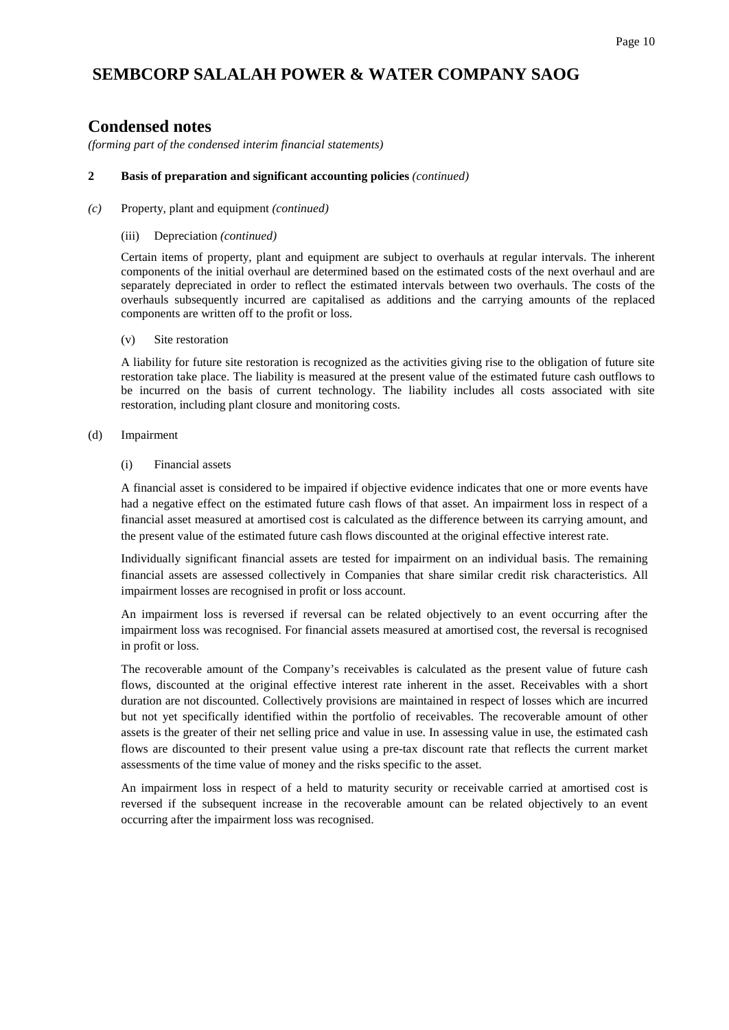### **Condensed notes**

*(forming part of the condensed interim financial statements)*

#### **2 Basis of preparation and significant accounting policies** *(continued)*

#### *(c)* Property, plant and equipment *(continued)*

#### (iii) Depreciation *(continued)*

Certain items of property, plant and equipment are subject to overhauls at regular intervals. The inherent components of the initial overhaul are determined based on the estimated costs of the next overhaul and are separately depreciated in order to reflect the estimated intervals between two overhauls. The costs of the overhauls subsequently incurred are capitalised as additions and the carrying amounts of the replaced components are written off to the profit or loss.

#### (v) Site restoration

A liability for future site restoration is recognized as the activities giving rise to the obligation of future site restoration take place. The liability is measured at the present value of the estimated future cash outflows to be incurred on the basis of current technology. The liability includes all costs associated with site restoration, including plant closure and monitoring costs.

#### (d) Impairment

#### (i) Financial assets

A financial asset is considered to be impaired if objective evidence indicates that one or more events have had a negative effect on the estimated future cash flows of that asset. An impairment loss in respect of a financial asset measured at amortised cost is calculated as the difference between its carrying amount, and the present value of the estimated future cash flows discounted at the original effective interest rate.

Individually significant financial assets are tested for impairment on an individual basis. The remaining financial assets are assessed collectively in Companies that share similar credit risk characteristics. All impairment losses are recognised in profit or loss account.

An impairment loss is reversed if reversal can be related objectively to an event occurring after the impairment loss was recognised. For financial assets measured at amortised cost, the reversal is recognised in profit or loss.

The recoverable amount of the Company's receivables is calculated as the present value of future cash flows, discounted at the original effective interest rate inherent in the asset. Receivables with a short duration are not discounted. Collectively provisions are maintained in respect of losses which are incurred but not yet specifically identified within the portfolio of receivables. The recoverable amount of other assets is the greater of their net selling price and value in use. In assessing value in use, the estimated cash flows are discounted to their present value using a pre-tax discount rate that reflects the current market assessments of the time value of money and the risks specific to the asset.

An impairment loss in respect of a held to maturity security or receivable carried at amortised cost is reversed if the subsequent increase in the recoverable amount can be related objectively to an event occurring after the impairment loss was recognised.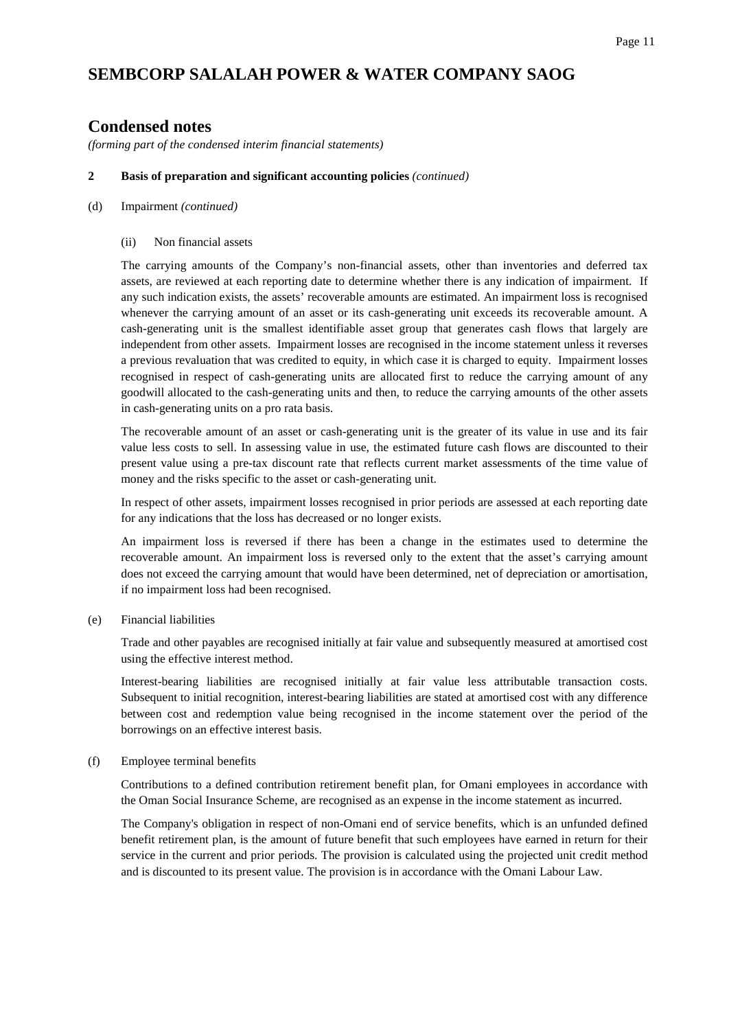### **Condensed notes**

*(forming part of the condensed interim financial statements)*

#### **2 Basis of preparation and significant accounting policies** *(continued)*

(d) Impairment *(continued)*

#### (ii) Non financial assets

The carrying amounts of the Company's non-financial assets, other than inventories and deferred tax assets, are reviewed at each reporting date to determine whether there is any indication of impairment. If any such indication exists, the assets' recoverable amounts are estimated. An impairment loss is recognised whenever the carrying amount of an asset or its cash-generating unit exceeds its recoverable amount. A cash-generating unit is the smallest identifiable asset group that generates cash flows that largely are independent from other assets. Impairment losses are recognised in the income statement unless it reverses a previous revaluation that was credited to equity, in which case it is charged to equity. Impairment losses recognised in respect of cash-generating units are allocated first to reduce the carrying amount of any goodwill allocated to the cash-generating units and then, to reduce the carrying amounts of the other assets in cash-generating units on a pro rata basis.

The recoverable amount of an asset or cash-generating unit is the greater of its value in use and its fair value less costs to sell. In assessing value in use, the estimated future cash flows are discounted to their present value using a pre-tax discount rate that reflects current market assessments of the time value of money and the risks specific to the asset or cash-generating unit.

In respect of other assets, impairment losses recognised in prior periods are assessed at each reporting date for any indications that the loss has decreased or no longer exists.

An impairment loss is reversed if there has been a change in the estimates used to determine the recoverable amount. An impairment loss is reversed only to the extent that the asset's carrying amount does not exceed the carrying amount that would have been determined, net of depreciation or amortisation, if no impairment loss had been recognised.

(e) Financial liabilities

Trade and other payables are recognised initially at fair value and subsequently measured at amortised cost using the effective interest method.

Interest-bearing liabilities are recognised initially at fair value less attributable transaction costs. Subsequent to initial recognition, interest-bearing liabilities are stated at amortised cost with any difference between cost and redemption value being recognised in the income statement over the period of the borrowings on an effective interest basis.

#### (f) Employee terminal benefits

Contributions to a defined contribution retirement benefit plan, for Omani employees in accordance with the Oman Social Insurance Scheme, are recognised as an expense in the income statement as incurred.

The Company's obligation in respect of non-Omani end of service benefits, which is an unfunded defined benefit retirement plan, is the amount of future benefit that such employees have earned in return for their service in the current and prior periods. The provision is calculated using the projected unit credit method and is discounted to its present value. The provision is in accordance with the Omani Labour Law.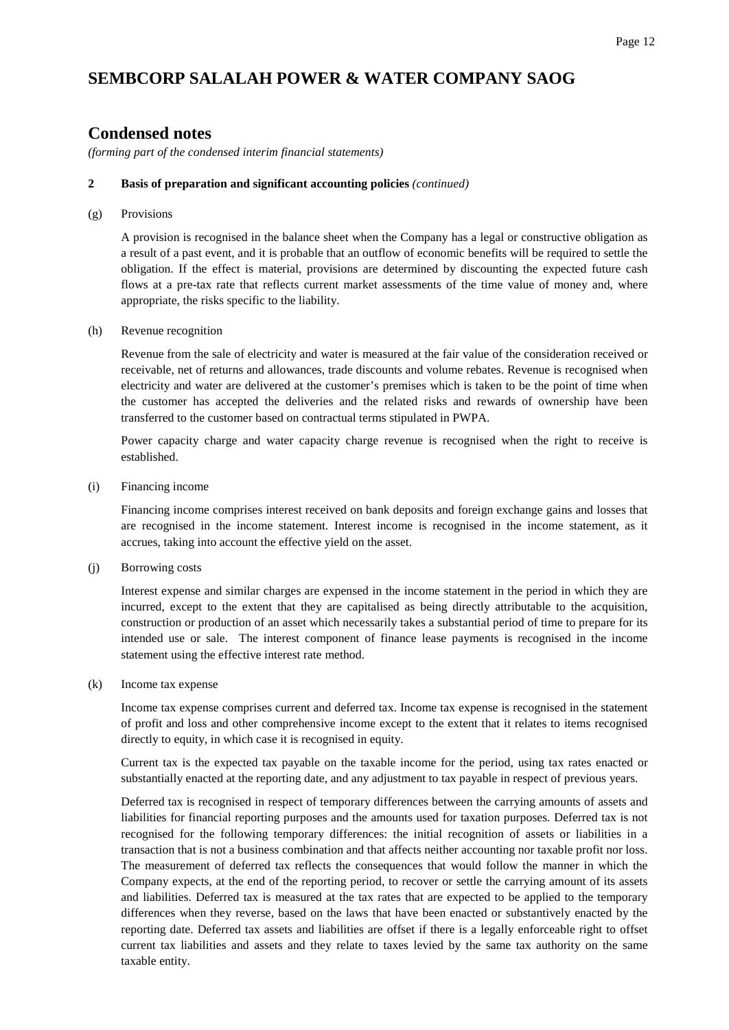### **Condensed notes**

*(forming part of the condensed interim financial statements)*

#### **2 Basis of preparation and significant accounting policies** *(continued)*

(g) Provisions

A provision is recognised in the balance sheet when the Company has a legal or constructive obligation as a result of a past event, and it is probable that an outflow of economic benefits will be required to settle the obligation. If the effect is material, provisions are determined by discounting the expected future cash flows at a pre-tax rate that reflects current market assessments of the time value of money and, where appropriate, the risks specific to the liability.

#### (h) Revenue recognition

Revenue from the sale of electricity and water is measured at the fair value of the consideration received or receivable, net of returns and allowances, trade discounts and volume rebates. Revenue is recognised when electricity and water are delivered at the customer's premises which is taken to be the point of time when the customer has accepted the deliveries and the related risks and rewards of ownership have been transferred to the customer based on contractual terms stipulated in PWPA.

Power capacity charge and water capacity charge revenue is recognised when the right to receive is established.

(i) Financing income

Financing income comprises interest received on bank deposits and foreign exchange gains and losses that are recognised in the income statement. Interest income is recognised in the income statement, as it accrues, taking into account the effective yield on the asset.

(j) Borrowing costs

Interest expense and similar charges are expensed in the income statement in the period in which they are incurred, except to the extent that they are capitalised as being directly attributable to the acquisition, construction or production of an asset which necessarily takes a substantial period of time to prepare for its intended use or sale. The interest component of finance lease payments is recognised in the income statement using the effective interest rate method.

(k) Income tax expense

Income tax expense comprises current and deferred tax. Income tax expense is recognised in the statement of profit and loss and other comprehensive income except to the extent that it relates to items recognised directly to equity, in which case it is recognised in equity.

Current tax is the expected tax payable on the taxable income for the period, using tax rates enacted or substantially enacted at the reporting date, and any adjustment to tax payable in respect of previous years.

Deferred tax is recognised in respect of temporary differences between the carrying amounts of assets and liabilities for financial reporting purposes and the amounts used for taxation purposes. Deferred tax is not recognised for the following temporary differences: the initial recognition of assets or liabilities in a transaction that is not a business combination and that affects neither accounting nor taxable profit nor loss. The measurement of deferred tax reflects the consequences that would follow the manner in which the Company expects, at the end of the reporting period, to recover or settle the carrying amount of its assets and liabilities. Deferred tax is measured at the tax rates that are expected to be applied to the temporary differences when they reverse, based on the laws that have been enacted or substantively enacted by the reporting date. Deferred tax assets and liabilities are offset if there is a legally enforceable right to offset current tax liabilities and assets and they relate to taxes levied by the same tax authority on the same taxable entity.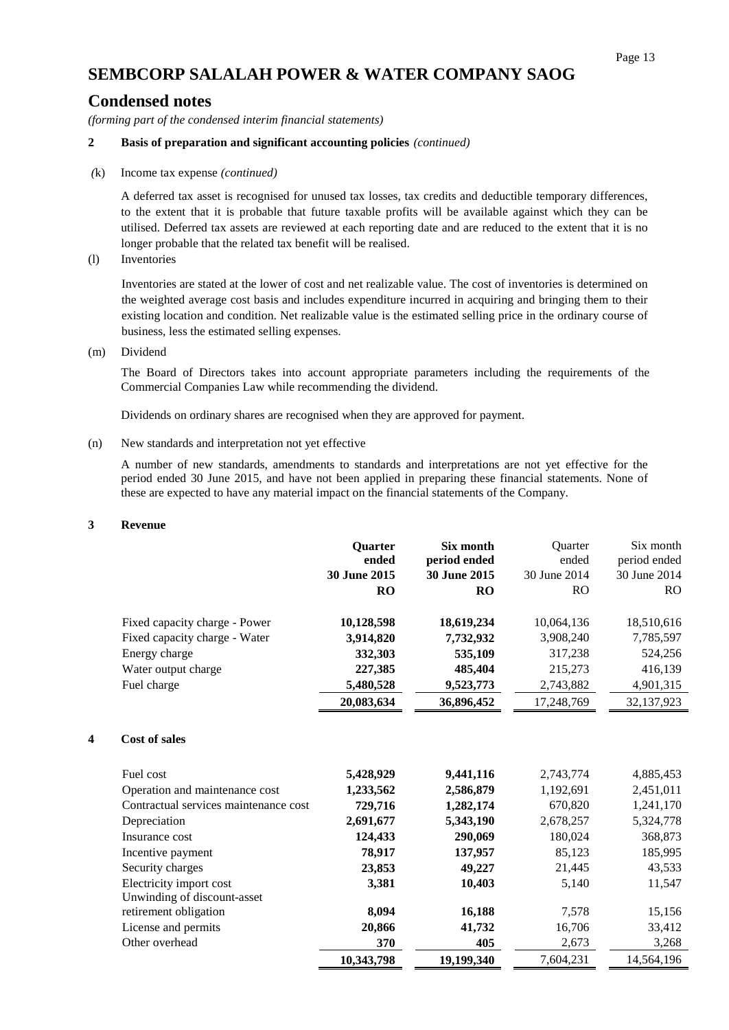### **Condensed notes**

*(forming part of the condensed interim financial statements)*

#### **2 Basis of preparation and significant accounting policies** *(continued)*

*(*k) Income tax expense *(continued)*

A deferred tax asset is recognised for unused tax losses, tax credits and deductible temporary differences, to the extent that it is probable that future taxable profits will be available against which they can be utilised. Deferred tax assets are reviewed at each reporting date and are reduced to the extent that it is no longer probable that the related tax benefit will be realised.

(l) Inventories

Inventories are stated at the lower of cost and net realizable value. The cost of inventories is determined on the weighted average cost basis and includes expenditure incurred in acquiring and bringing them to their existing location and condition. Net realizable value is the estimated selling price in the ordinary course of business, less the estimated selling expenses.

(m) Dividend

The Board of Directors takes into account appropriate parameters including the requirements of the Commercial Companies Law while recommending the dividend.

Dividends on ordinary shares are recognised when they are approved for payment.

#### (n) New standards and interpretation not yet effective

A number of new standards, amendments to standards and interpretations are not yet effective for the period ended 30 June 2015, and have not been applied in preparing these financial statements. None of these are expected to have any material impact on the financial statements of the Company.

#### **3 Revenue**

|                                       | <b>Quarter</b> | Six month    | <b>Ouarter</b> | Six month    |
|---------------------------------------|----------------|--------------|----------------|--------------|
|                                       | ended          | period ended | ended          | period ended |
|                                       | 30 June 2015   | 30 June 2015 | 30 June 2014   | 30 June 2014 |
|                                       | RO             | <b>RO</b>    | <b>RO</b>      | <b>RO</b>    |
| Fixed capacity charge - Power         | 10,128,598     | 18,619,234   | 10,064,136     | 18,510,616   |
| Fixed capacity charge - Water         | 3,914,820      | 7,732,932    | 3,908,240      | 7,785,597    |
| Energy charge                         | 332,303        | 535,109      | 317,238        | 524,256      |
| Water output charge                   | 227,385        | 485,404      | 215,273        | 416,139      |
| Fuel charge                           | 5,480,528      | 9,523,773    | 2,743,882      | 4,901,315    |
|                                       | 20,083,634     | 36,896,452   | 17,248,769     | 32,137,923   |
| <b>Cost of sales</b><br>4             |                |              |                |              |
| Fuel cost                             | 5,428,929      | 9,441,116    | 2,743,774      | 4,885,453    |
| Operation and maintenance cost        | 1,233,562      | 2,586,879    | 1,192,691      | 2,451,011    |
| Contractual services maintenance cost | 729,716        | 1,282,174    | 670,820        | 1,241,170    |
| Depreciation                          | 2,691,677      | 5,343,190    | 2,678,257      | 5,324,778    |
| Insurance cost                        | 124,433        | 290,069      | 180,024        | 368,873      |
| Incentive payment                     | 78,917         | 137,957      | 85,123         | 185,995      |
| Security charges                      | 23,853         | 49,227       | 21,445         | 43,533       |
| Electricity import cost               | 3,381          | 10,403       | 5,140          | 11,547       |
| Unwinding of discount-asset           |                |              |                |              |
| retirement obligation                 | 8,094          | 16,188       | 7,578          | 15,156       |
| License and permits                   | 20,866         | 41,732       | 16,706         | 33,412       |
| Other overhead                        | 370            | 405          | 2,673          | 3,268        |
|                                       | 10,343,798     | 19,199,340   | 7,604,231      | 14,564,196   |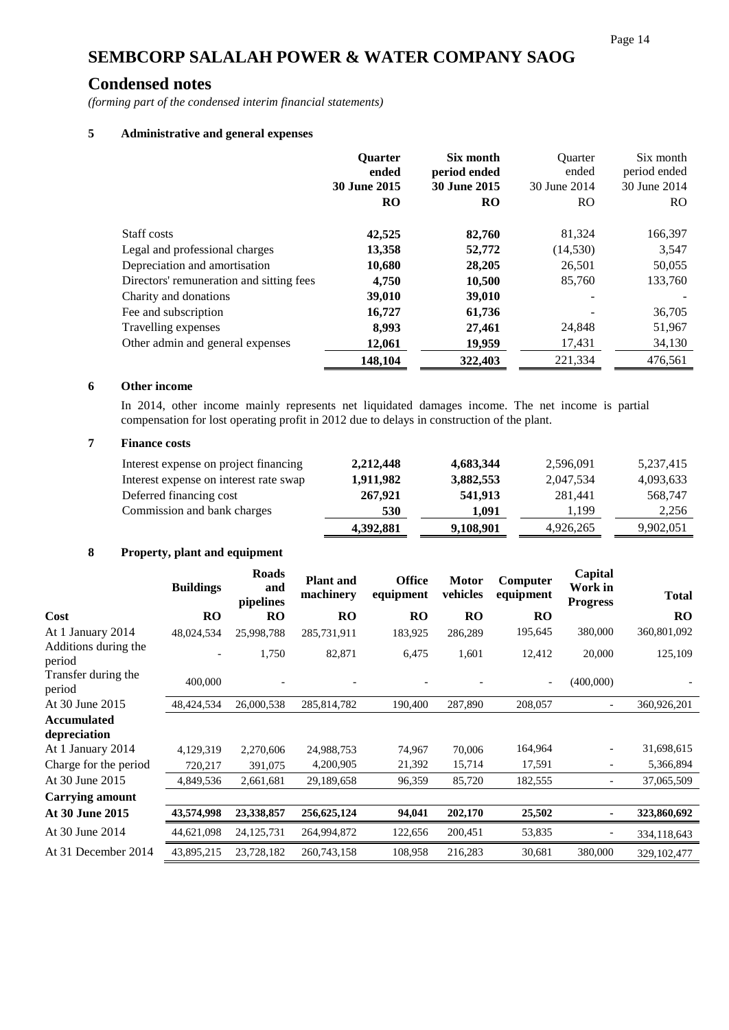### **Condensed notes**

*(forming part of the condensed interim financial statements)*

#### **5 Administrative and general expenses**

|                                          | <b>Ouarter</b><br>ended<br><b>30 June 2015</b><br><b>RO</b> | Six month<br>period ended<br>30 June 2015<br><b>RO</b> | <b>Ouarter</b><br>ended<br>30 June 2014<br>RO. | Six month<br>period ended<br>30 June 2014<br>RO. |
|------------------------------------------|-------------------------------------------------------------|--------------------------------------------------------|------------------------------------------------|--------------------------------------------------|
| Staff costs                              | 42,525                                                      | 82,760                                                 | 81,324                                         | 166,397                                          |
| Legal and professional charges           | 13,358                                                      | 52,772                                                 | (14, 530)                                      | 3,547                                            |
| Depreciation and amortisation            | 10,680                                                      | 28,205                                                 | 26,501                                         | 50,055                                           |
| Directors' remuneration and sitting fees | 4,750                                                       | 10,500                                                 | 85,760                                         | 133,760                                          |
| Charity and donations                    | 39,010                                                      | 39,010                                                 |                                                |                                                  |
| Fee and subscription                     | 16,727                                                      | 61,736                                                 |                                                | 36,705                                           |
| Travelling expenses                      | 8,993                                                       | 27,461                                                 | 24,848                                         | 51,967                                           |
| Other admin and general expenses         | 12,061                                                      | 19,959                                                 | 17,431                                         | 34,130                                           |
|                                          | 148,104                                                     | 322,403                                                | 221,334                                        | 476,561                                          |

#### **6 Other income**

In 2014, other income mainly represents net liquidated damages income. The net income is partial compensation for lost operating profit in 2012 due to delays in construction of the plant.

#### **7 Finance costs**

| Interest expense on project financing  | 2,212,448 | 4,683,344 | 2,596,091 | 5,237,415 |
|----------------------------------------|-----------|-----------|-----------|-----------|
| Interest expense on interest rate swap | 1,911,982 | 3,882,553 | 2,047,534 | 4,093,633 |
| Deferred financing cost                | 267,921   | 541,913   | 281.441   | 568,747   |
| Commission and bank charges            | 530       | 1.091     | 1.199     | 2,256     |
|                                        | 4,392,881 | 9,108,901 | 4,926,265 | 9,902,051 |

#### **8 Property, plant and equipment**

|                                | <b>Buildings</b> | <b>Roads</b><br>and<br>pipelines | <b>Plant</b> and<br>machinery | <b>Office</b><br>equipment | <b>Motor</b><br>vehicles | Computer<br>equipment | Capital<br>Work in<br><b>Progress</b> | <b>Total</b> |
|--------------------------------|------------------|----------------------------------|-------------------------------|----------------------------|--------------------------|-----------------------|---------------------------------------|--------------|
| Cost                           | <b>RO</b>        | <b>RO</b>                        | <b>RO</b>                     | <b>RO</b>                  | <b>RO</b>                | <b>RO</b>             |                                       | <b>RO</b>    |
| At 1 January 2014              | 48,024,534       | 25,998,788                       | 285,731,911                   | 183,925                    | 286,289                  | 195,645               | 380,000                               | 360,801,092  |
| Additions during the<br>period |                  | 1,750                            | 82,871                        | 6,475                      | 1,601                    | 12,412                | 20,000                                | 125,109      |
| Transfer during the<br>period  | 400,000          |                                  |                               |                            |                          |                       | (400,000)                             |              |
| At 30 June 2015                | 48,424,534       | 26,000,538                       | 285,814,782                   | 190,400                    | 287,890                  | 208,057               |                                       | 360,926,201  |
| <b>Accumulated</b>             |                  |                                  |                               |                            |                          |                       |                                       |              |
| depreciation                   |                  |                                  |                               |                            |                          |                       |                                       |              |
| At 1 January 2014              | 4,129,319        | 2,270,606                        | 24,988,753                    | 74,967                     | 70,006                   | 164,964               |                                       | 31,698,615   |
| Charge for the period          | 720,217          | 391,075                          | 4,200,905                     | 21,392                     | 15,714                   | 17,591                |                                       | 5,366,894    |
| At 30 June 2015                | 4,849,536        | 2,661,681                        | 29,189,658                    | 96,359                     | 85,720                   | 182,555               |                                       | 37,065,509   |
| Carrying amount                |                  |                                  |                               |                            |                          |                       |                                       |              |
| <b>At 30 June 2015</b>         | 43,574,998       | 23,338,857                       | 256,625,124                   | 94,041                     | 202,170                  | 25,502                | ۰                                     | 323,860,692  |
| At 30 June 2014                | 44,621,098       | 24, 125, 731                     | 264,994,872                   | 122,656                    | 200,451                  | 53,835                |                                       | 334,118,643  |
| At 31 December 2014            | 43,895,215       | 23,728,182                       | 260,743,158                   | 108,958                    | 216,283                  | 30,681                | 380,000                               | 329,102,477  |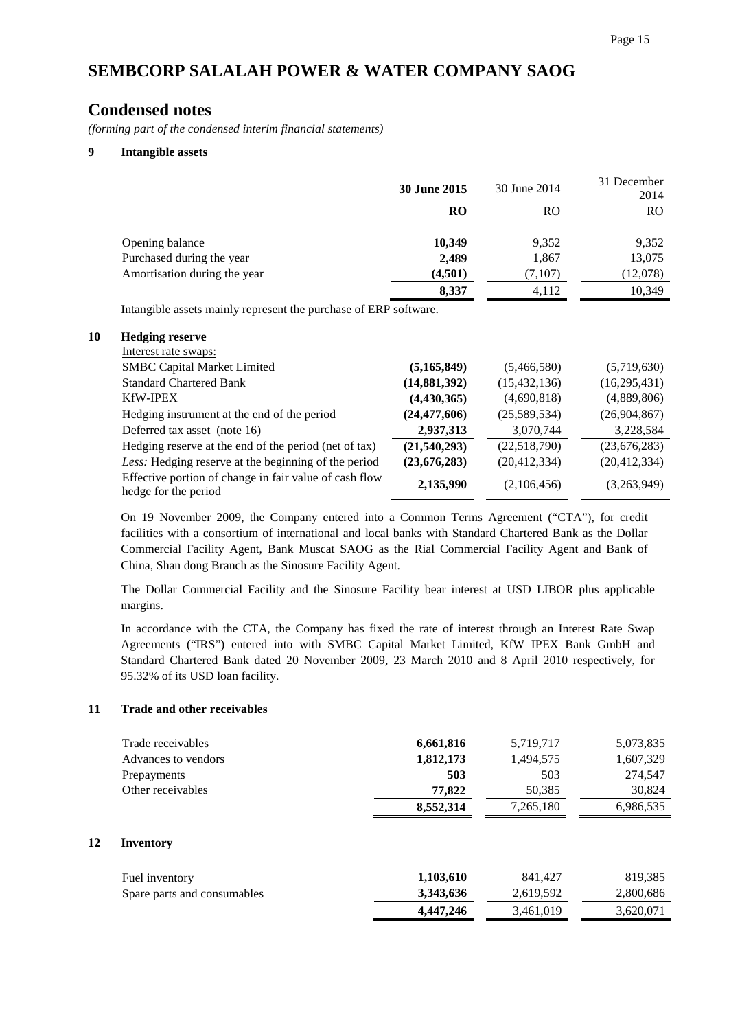### **Condensed notes**

*(forming part of the condensed interim financial statements)*

#### **9 Intangible assets**

|                              | 30 June 2015 | 30 June 2014  | 31 December<br>2014 |
|------------------------------|--------------|---------------|---------------------|
|                              | RO           | <sub>RO</sub> | <sub>RO</sub>       |
| Opening balance              | 10,349       | 9,352         | 9,352               |
| Purchased during the year    | 2,489        | 1,867         | 13,075              |
| Amortisation during the year | (4,501)      | (7,107)       | (12,078)            |
|                              | 8,337        | 4,112         | 10,349              |

Intangible assets mainly represent the purchase of ERP software.

#### **10 Hedging reserve**

| Interest rate swaps:                                                           |                |                |                |
|--------------------------------------------------------------------------------|----------------|----------------|----------------|
| <b>SMBC Capital Market Limited</b>                                             | (5,165,849)    | (5,466,580)    | (5,719,630)    |
| <b>Standard Chartered Bank</b>                                                 | (14,881,392)   | (15, 432, 136) | (16, 295, 431) |
| <b>KfW-IPEX</b>                                                                | (4, 430, 365)  | (4,690,818)    | (4,889,806)    |
| Hedging instrument at the end of the period                                    | (24, 477, 606) | (25,589,534)   | (26,904,867)   |
| Deferred tax asset (note 16)                                                   | 2,937,313      | 3,070,744      | 3,228,584      |
| Hedging reserve at the end of the period (net of tax)                          | (21,540,293)   | (22,518,790)   | (23,676,283)   |
| Less: Hedging reserve at the beginning of the period                           | (23, 676, 283) | (20, 412, 334) | (20, 412, 334) |
| Effective portion of change in fair value of cash flow<br>hedge for the period | 2,135,990      | (2,106,456)    | (3,263,949)    |

On 19 November 2009, the Company entered into a Common Terms Agreement ("CTA"), for credit facilities with a consortium of international and local banks with Standard Chartered Bank as the Dollar Commercial Facility Agent, Bank Muscat SAOG as the Rial Commercial Facility Agent and Bank of China, Shan dong Branch as the Sinosure Facility Agent.

The Dollar Commercial Facility and the Sinosure Facility bear interest at USD LIBOR plus applicable margins.

In accordance with the CTA, the Company has fixed the rate of interest through an Interest Rate Swap Agreements ("IRS") entered into with SMBC Capital Market Limited, KfW IPEX Bank GmbH and Standard Chartered Bank dated 20 November 2009, 23 March 2010 and 8 April 2010 respectively, for 95.32% of its USD loan facility.

#### **11 Trade and other receivables**

**12 Inventory**

| Trade receivables           | 6,661,816 | 5,719,717 | 5,073,835 |
|-----------------------------|-----------|-----------|-----------|
| Advances to vendors         | 1,812,173 | 1,494,575 | 1,607,329 |
| Prepayments                 | 503       | 503       | 274,547   |
| Other receivables           | 77,822    | 50,385    | 30,824    |
|                             | 8,552,314 | 7,265,180 | 6,986,535 |
| <b>Inventory</b>            |           |           |           |
| Fuel inventory              | 1,103,610 | 841.427   | 819,385   |
| Spare parts and consumables | 3,343,636 | 2,619,592 | 2,800,686 |
|                             | 4,447,246 | 3,461,019 | 3,620,071 |
|                             |           |           |           |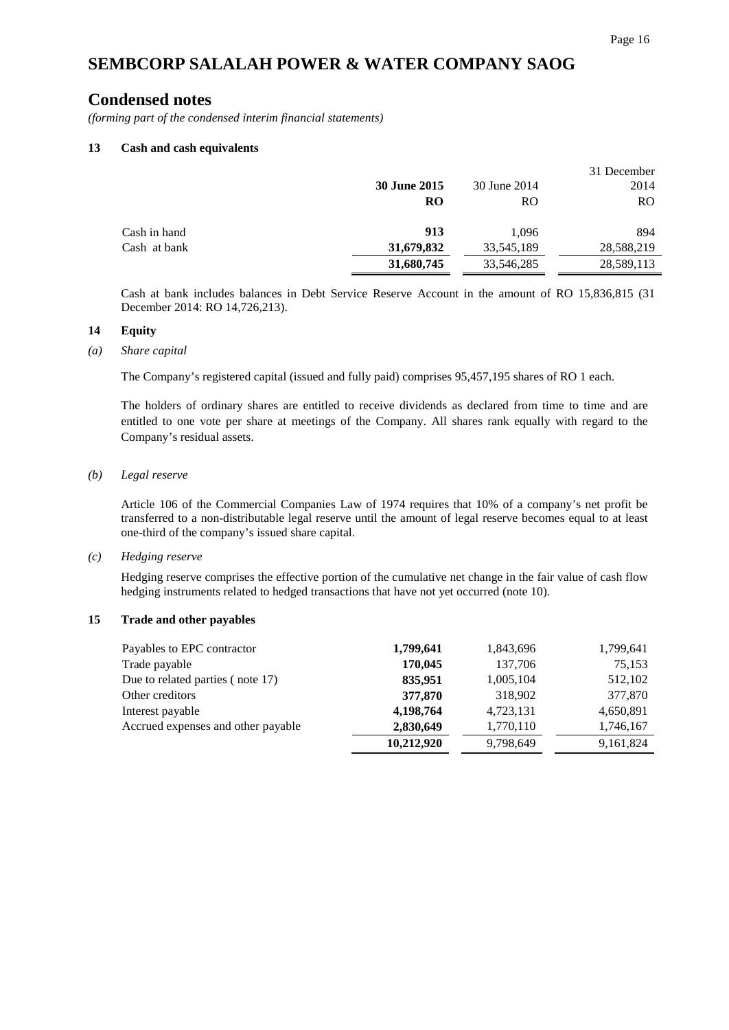## **Condensed notes**

*(forming part of the condensed interim financial statements)*

#### **13 Cash and cash equivalents**

|              |                     |              | 31 December   |
|--------------|---------------------|--------------|---------------|
|              | <b>30 June 2015</b> | 30 June 2014 | 2014          |
|              | RO                  | RO           | <sub>RO</sub> |
| Cash in hand | 913                 | 1.096        | 894           |
| Cash at bank | 31,679,832          | 33,545,189   | 28,588,219    |
|              | 31,680,745          | 33,546,285   | 28,589,113    |

Cash at bank includes balances in Debt Service Reserve Account in the amount of RO 15,836,815 (31 December 2014: RO 14,726,213).

#### **14 Equity**

#### *(a) Share capital*

The Company's registered capital (issued and fully paid) comprises 95,457,195 shares of RO 1 each.

The holders of ordinary shares are entitled to receive dividends as declared from time to time and are entitled to one vote per share at meetings of the Company. All shares rank equally with regard to the Company's residual assets.

#### *(b) Legal reserve*

Article 106 of the Commercial Companies Law of 1974 requires that 10% of a company's net profit be transferred to a non-distributable legal reserve until the amount of legal reserve becomes equal to at least one-third of the company's issued share capital.

#### *(c) Hedging reserve*

Hedging reserve comprises the effective portion of the cumulative net change in the fair value of cash flow hedging instruments related to hedged transactions that have not yet occurred (note 10).

#### **15 Trade and other payables**

| Payables to EPC contractor         | 1,799,641  | 1,843,696 | 1,799,641 |
|------------------------------------|------------|-----------|-----------|
| Trade payable                      | 170,045    | 137,706   | 75,153    |
| Due to related parties (note 17)   | 835,951    | 1,005,104 | 512,102   |
| Other creditors                    | 377,870    | 318,902   | 377,870   |
| Interest payable                   | 4,198,764  | 4,723,131 | 4,650,891 |
| Accrued expenses and other payable | 2,830,649  | 1,770,110 | 1,746,167 |
|                                    | 10,212,920 | 9,798,649 | 9,161,824 |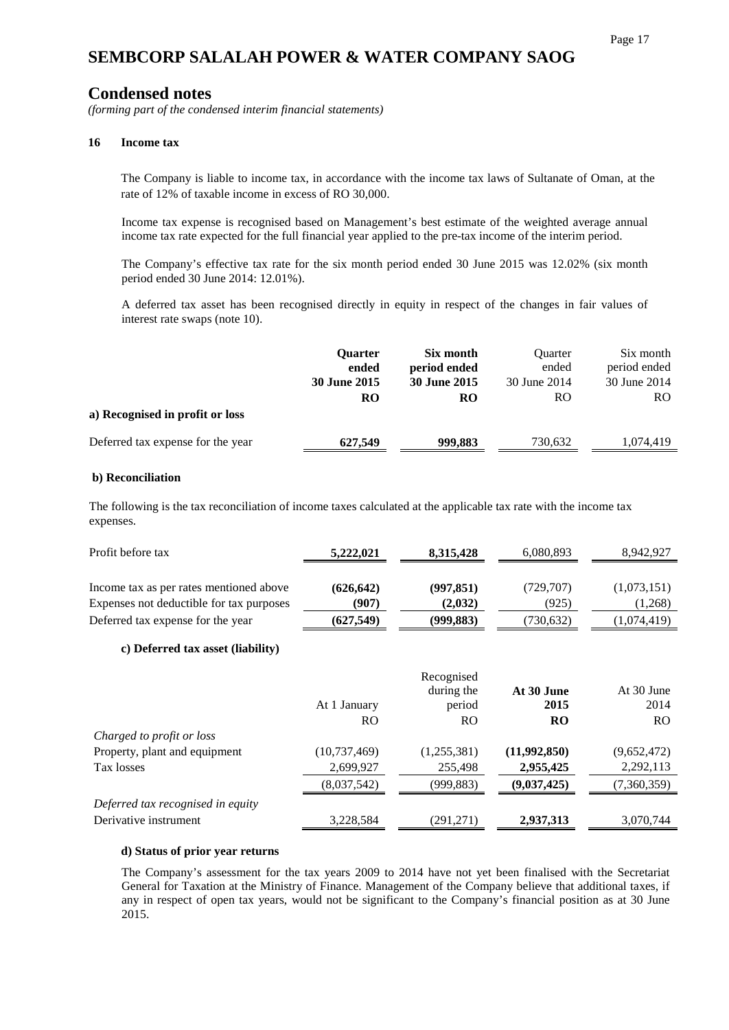### **Condensed notes**

*(forming part of the condensed interim financial statements)*

#### **16 Income tax**

The Company is liable to income tax, in accordance with the income tax laws of Sultanate of Oman, at the rate of 12% of taxable income in excess of RO 30,000.

Income tax expense is recognised based on Management's best estimate of the weighted average annual income tax rate expected for the full financial year applied to the pre-tax income of the interim period.

The Company's effective tax rate for the six month period ended 30 June 2015 was 12.02% (six month period ended 30 June 2014: 12.01%).

A deferred tax asset has been recognised directly in equity in respect of the changes in fair values of interest rate swaps (note 10).

|                                   | <b>Ouarter</b><br>ended<br>30 June 2015 | Six month<br>period ended<br><b>30 June 2015</b> | <b>Ouarter</b><br>ended<br>30 June 2014 | Six month<br>period ended<br>30 June 2014 |
|-----------------------------------|-----------------------------------------|--------------------------------------------------|-----------------------------------------|-------------------------------------------|
| a) Recognised in profit or loss   | RO                                      | RO                                               | RO                                      | <b>RO</b>                                 |
| Deferred tax expense for the year | 627,549                                 | 999,883                                          | 730.632                                 | 1.074.419                                 |

#### **b) Reconciliation**

The following is the tax reconciliation of income taxes calculated at the applicable tax rate with the income tax expenses.

| Profit before tax                        | 5,222,021  | 8,315,428  | 6,080,893  | 8.942.927   |
|------------------------------------------|------------|------------|------------|-------------|
|                                          |            |            |            |             |
| Income tax as per rates mentioned above  | (626, 642) | (997, 851) | (729, 707) | (1,073,151) |
| Expenses not deductible for tax purposes | (907)      | (2,032)    | (925)      | (1,268)     |
| Deferred tax expense for the year        | (627,549)  | (999,883)  | (730,632)  | (1,074,419) |

#### **c) Deferred tax asset (liability)**

|                                   | At 1 January<br>RO. | Recognised<br>during the<br>period<br>RO. | At 30 June<br>2015<br><b>RO</b> | At 30 June<br>2014<br><sub>RO</sub> |
|-----------------------------------|---------------------|-------------------------------------------|---------------------------------|-------------------------------------|
| Charged to profit or loss         |                     |                                           |                                 |                                     |
| Property, plant and equipment     | (10, 737, 469)      | (1,255,381)                               | (11,992,850)                    | (9,652,472)                         |
| Tax losses                        | 2,699,927           | 255,498                                   | 2,955,425                       | 2,292,113                           |
|                                   | (8,037,542)         | (999, 883)                                | (9,037,425)                     | (7,360,359)                         |
| Deferred tax recognised in equity |                     |                                           |                                 |                                     |
| Derivative instrument             | 3,228,584           | (291, 271)                                | 2,937,313                       | 3,070,744                           |

#### **d) Status of prior year returns**

The Company's assessment for the tax years 2009 to 2014 have not yet been finalised with the Secretariat General for Taxation at the Ministry of Finance. Management of the Company believe that additional taxes, if any in respect of open tax years, would not be significant to the Company's financial position as at 30 June 2015.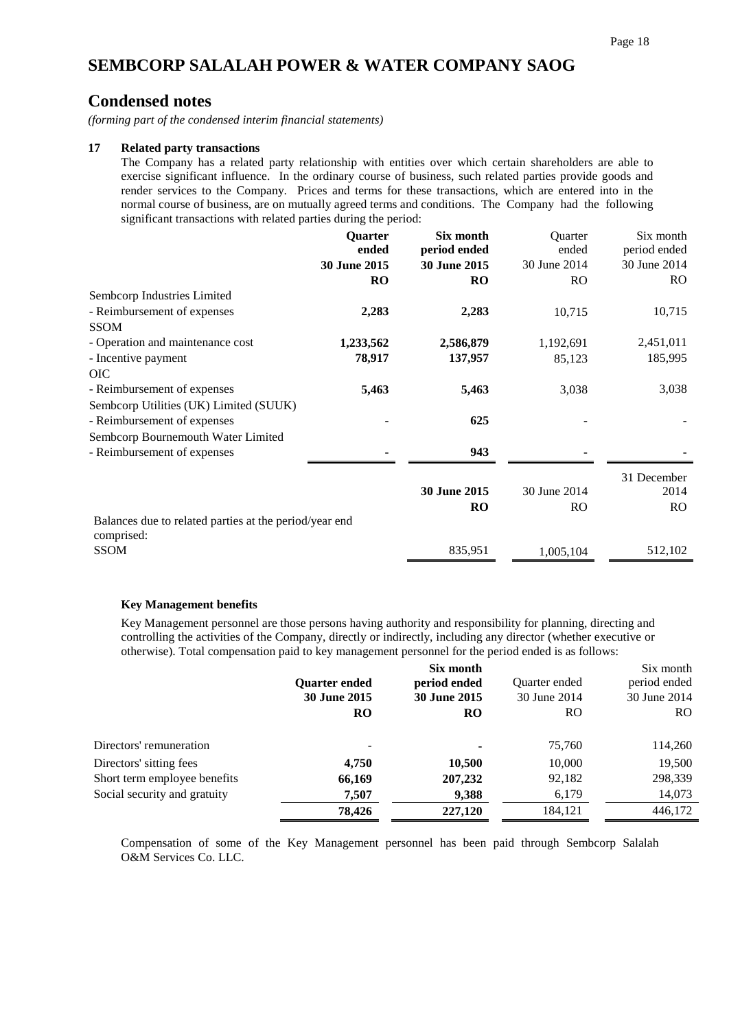### **Condensed notes**

*(forming part of the condensed interim financial statements)*

#### **17 Related party transactions**

The Company has a related party relationship with entities over which certain shareholders are able to exercise significant influence. In the ordinary course of business, such related parties provide goods and render services to the Company. Prices and terms for these transactions, which are entered into in the normal course of business, are on mutually agreed terms and conditions. The Company had the following significant transactions with related parties during the period:

|                                                                      | Quarter      | Six month    | Quarter        | Six month    |
|----------------------------------------------------------------------|--------------|--------------|----------------|--------------|
|                                                                      | ended        | period ended | ended          | period ended |
|                                                                      | 30 June 2015 | 30 June 2015 | 30 June 2014   | 30 June 2014 |
|                                                                      | <b>RO</b>    | <b>RO</b>    | RO.            | RO.          |
| Sembcorp Industries Limited                                          |              |              |                |              |
| - Reimbursement of expenses                                          | 2,283        | 2,283        | 10,715         | 10,715       |
| <b>SSOM</b>                                                          |              |              |                |              |
| - Operation and maintenance cost                                     | 1,233,562    | 2,586,879    | 1,192,691      | 2,451,011    |
| - Incentive payment                                                  | 78,917       | 137,957      | 85,123         | 185,995      |
| <b>OIC</b>                                                           |              |              |                |              |
| - Reimbursement of expenses                                          | 5,463        | 5,463        | 3,038          | 3,038        |
| Sembcorp Utilities (UK) Limited (SUUK)                               |              |              |                |              |
| - Reimbursement of expenses                                          |              | 625          |                |              |
| Sembcorp Bournemouth Water Limited                                   |              |              |                |              |
| - Reimbursement of expenses                                          |              | 943          |                |              |
|                                                                      |              |              |                | 31 December  |
|                                                                      |              | 30 June 2015 | 30 June 2014   | 2014         |
|                                                                      |              | <b>RO</b>    | R <sub>O</sub> | RO           |
| Balances due to related parties at the period/year end<br>comprised: |              |              |                |              |
| SSOM                                                                 |              | 835,951      | 1,005,104      | 512,102      |

#### **Key Management benefits**

Key Management personnel are those persons having authority and responsibility for planning, directing and controlling the activities of the Company, directly or indirectly, including any director (whether executive or otherwise). Total compensation paid to key management personnel for the period ended is as follows:

|                              |                      | Six month           |               | Six month    |
|------------------------------|----------------------|---------------------|---------------|--------------|
|                              | <b>Ouarter ended</b> | period ended        | Quarter ended | period ended |
|                              | <b>30 June 2015</b>  | <b>30 June 2015</b> | 30 June 2014  | 30 June 2014 |
|                              | <b>RO</b>            | <b>RO</b>           | RO.           | RO.          |
| Directors' remuneration      |                      |                     | 75,760        | 114,260      |
| Directors' sitting fees      | 4,750                | 10,500              | 10,000        | 19,500       |
| Short term employee benefits | 66,169               | 207,232             | 92,182        | 298,339      |
| Social security and gratuity | 7.507                | 9,388               | 6,179         | 14,073       |
|                              | 78.426               | 227,120             | 184,121       | 446,172      |

Compensation of some of the Key Management personnel has been paid through Sembcorp Salalah O&M Services Co. LLC.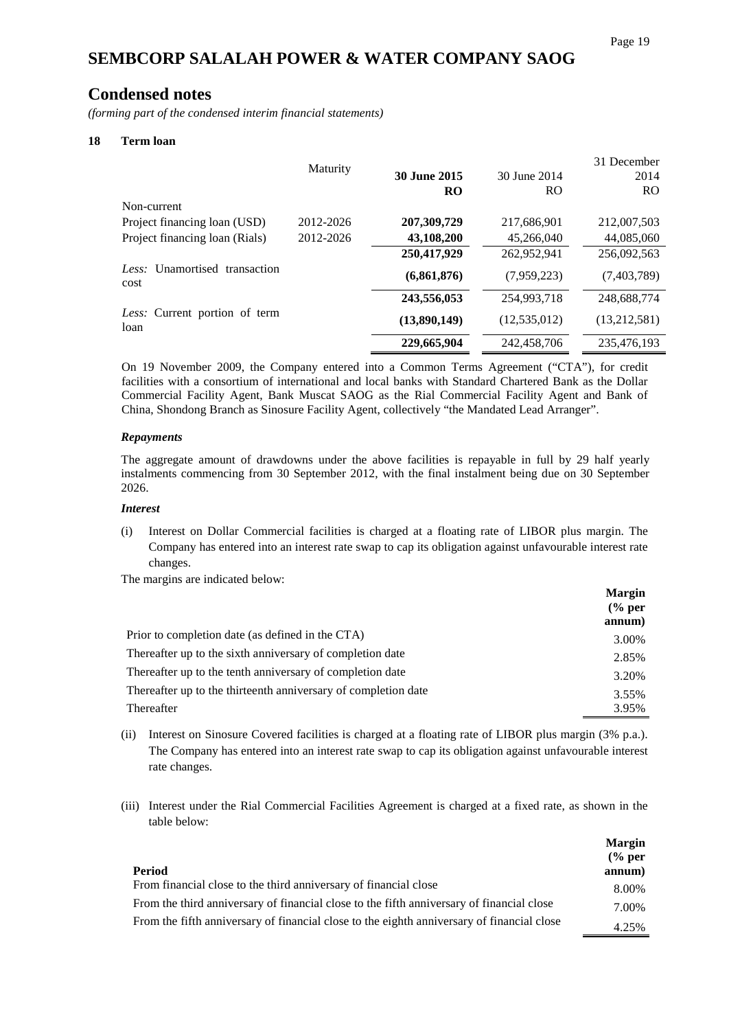### **Condensed notes**

*(forming part of the condensed interim financial statements)*

#### **18 Term loan**

|                                       |           |                     |                | 31 December  |
|---------------------------------------|-----------|---------------------|----------------|--------------|
|                                       | Maturity  | <b>30 June 2015</b> | 30 June 2014   | 2014         |
|                                       |           | <b>RO</b>           | R <sub>O</sub> | <b>RO</b>    |
| Non-current                           |           |                     |                |              |
| Project financing loan (USD)          | 2012-2026 | 207,309,729         | 217,686,901    | 212,007,503  |
| Project financing loan (Rials)        | 2012-2026 | 43,108,200          | 45,266,040     | 44,085,060   |
|                                       |           | 250,417,929         | 262,952,941    | 256,092,563  |
| Less: Unamortised transaction<br>cost |           | (6,861,876)         | (7,959,223)    | (7,403,789)  |
|                                       |           | 243,556,053         | 254,993,718    | 248,688,774  |
| Less: Current portion of term<br>loan |           | (13,890,149)        | (12, 535, 012) | (13,212,581) |
|                                       |           | 229,665,904         | 242,458,706    | 235,476,193  |

On 19 November 2009, the Company entered into a Common Terms Agreement ("CTA"), for credit facilities with a consortium of international and local banks with Standard Chartered Bank as the Dollar Commercial Facility Agent, Bank Muscat SAOG as the Rial Commercial Facility Agent and Bank of China, Shondong Branch as Sinosure Facility Agent, collectively "the Mandated Lead Arranger".

#### *Repayments*

The aggregate amount of drawdowns under the above facilities is repayable in full by 29 half yearly instalments commencing from 30 September 2012, with the final instalment being due on 30 September 2026.

#### *Interest*

(i) Interest on Dollar Commercial facilities is charged at a floating rate of LIBOR plus margin. The Company has entered into an interest rate swap to cap its obligation against unfavourable interest rate changes.

The margins are indicated below:

|                                                                | <b>Margin</b><br>$\frac{6}{6}$ per<br>annum) |
|----------------------------------------------------------------|----------------------------------------------|
| Prior to completion date (as defined in the CTA)               | 3.00%                                        |
| Thereafter up to the sixth anniversary of completion date      | 2.85%                                        |
| Thereafter up to the tenth anniversary of completion date      | 3.20%                                        |
| Thereafter up to the thirteenth anniversary of completion date | 3.55%                                        |
| Thereafter                                                     | 3.95%                                        |

- (ii) Interest on Sinosure Covered facilities is charged at a floating rate of LIBOR plus margin (3% p.a.). The Company has entered into an interest rate swap to cap its obligation against unfavourable interest rate changes.
- (iii) Interest under the Rial Commercial Facilities Agreement is charged at a fixed rate, as shown in the table below:

|                                                                                            | <b>Margin</b><br>$\frac{6}{6}$ per |
|--------------------------------------------------------------------------------------------|------------------------------------|
| Period                                                                                     | annum)                             |
| From financial close to the third anniversary of financial close                           | 8.00%                              |
| From the third anniversary of financial close to the fifth anniversary of financial close  | 7.00%                              |
| From the fifth anniversary of financial close to the eighth anniversary of financial close | 4.25%                              |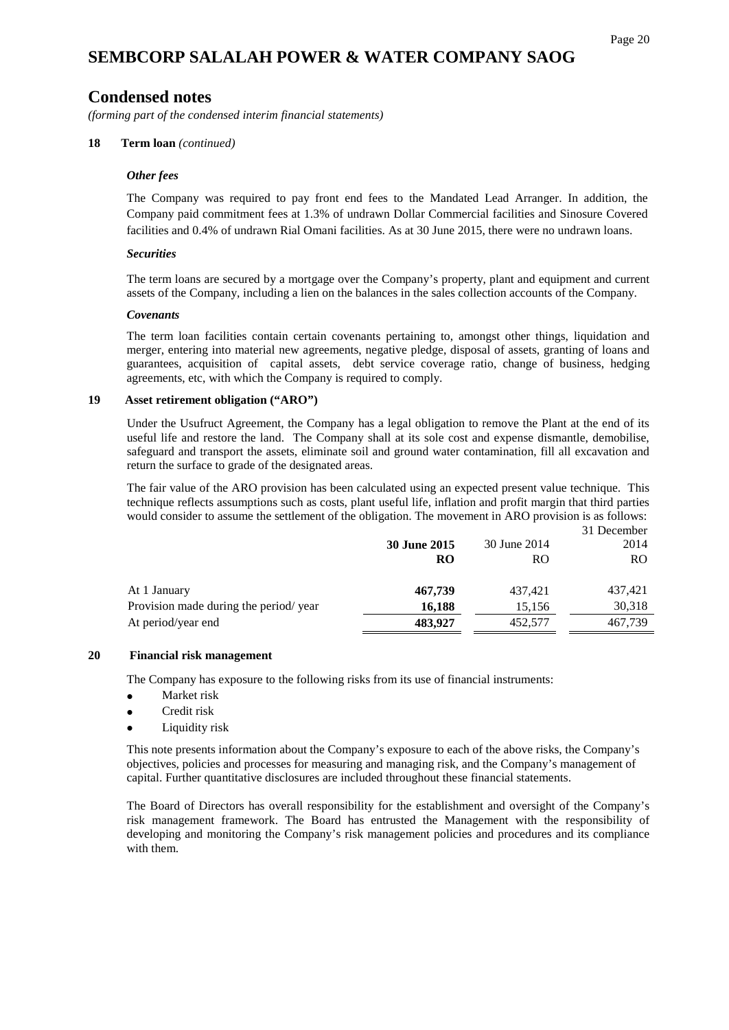### **Condensed notes**

*(forming part of the condensed interim financial statements)*

#### **18 Term loan** *(continued)*

#### *Other fees*

The Company was required to pay front end fees to the Mandated Lead Arranger. In addition, the Company paid commitment fees at 1.3% of undrawn Dollar Commercial facilities and Sinosure Covered facilities and 0.4% of undrawn Rial Omani facilities. As at 30 June 2015, there were no undrawn loans.

#### *Securities*

The term loans are secured by a mortgage over the Company's property, plant and equipment and current assets of the Company, including a lien on the balances in the sales collection accounts of the Company.

#### *Covenants*

The term loan facilities contain certain covenants pertaining to, amongst other things, liquidation and merger, entering into material new agreements, negative pledge, disposal of assets, granting of loans and guarantees, acquisition of capital assets, debt service coverage ratio, change of business, hedging agreements, etc, with which the Company is required to comply.

#### **19 Asset retirement obligation ("ARO")**

Under the Usufruct Agreement, the Company has a legal obligation to remove the Plant at the end of its useful life and restore the land. The Company shall at its sole cost and expense dismantle, demobilise, safeguard and transport the assets, eliminate soil and ground water contamination, fill all excavation and return the surface to grade of the designated areas.

The fair value of the ARO provision has been calculated using an expected present value technique. This technique reflects assumptions such as costs, plant useful life, inflation and profit margin that third parties would consider to assume the settlement of the obligation. The movement in ARO provision is as follows:

|                                       |                           | 30 June 2014 | 31 December<br>2014 |
|---------------------------------------|---------------------------|--------------|---------------------|
|                                       | 30 June 2015<br><b>RO</b> | <b>RO</b>    | RO.                 |
| At 1 January                          | 467,739                   | 437.421      | 437,421             |
| Provision made during the period/year | 16,188                    | 15,156       | 30,318              |
| At period/year end                    | 483,927                   | 452,577      | 467,739             |

#### **20 Financial risk management**

The Company has exposure to the following risks from its use of financial instruments:

- Market risk
- Credit risk
- Liquidity risk

This note presents information about the Company's exposure to each of the above risks, the Company's objectives, policies and processes for measuring and managing risk, and the Company's management of capital. Further quantitative disclosures are included throughout these financial statements.

The Board of Directors has overall responsibility for the establishment and oversight of the Company's risk management framework. The Board has entrusted the Management with the responsibility of developing and monitoring the Company's risk management policies and procedures and its compliance with them.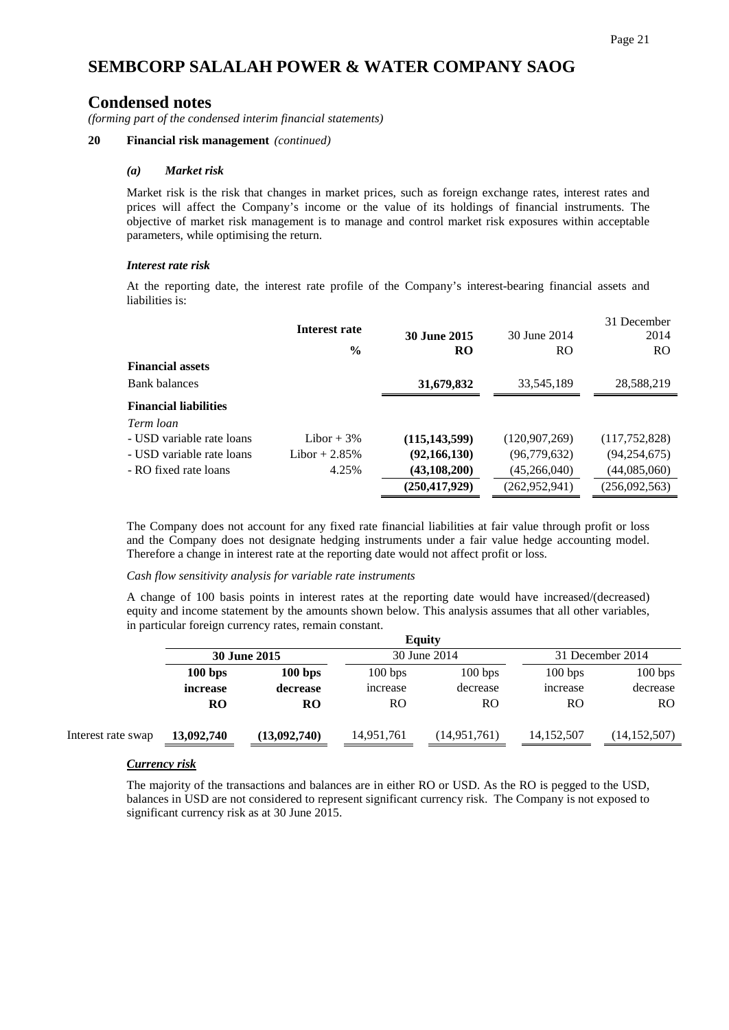# **Condensed notes**

*(forming part of the condensed interim financial statements)*

### **20 Financial risk management** *(continued)*

### *(a) Market risk*

Market risk is the risk that changes in market prices, such as foreign exchange rates, interest rates and prices will affect the Company's income or the value of its holdings of financial instruments. The objective of market risk management is to manage and control market risk exposures within acceptable parameters, while optimising the return.

### *Interest rate risk*

At the reporting date, the interest rate profile of the Company's interest-bearing financial assets and liabilities is:

|                              | Interest rate  | <b>30 June 2015</b> | 30 June 2014    | 31 December<br>2014 |
|------------------------------|----------------|---------------------|-----------------|---------------------|
|                              | $\frac{6}{9}$  | RO                  | <b>RO</b>       | <b>RO</b>           |
| <b>Financial assets</b>      |                |                     |                 |                     |
| <b>Bank balances</b>         |                | 31,679,832          | 33,545,189      | 28,588,219          |
| <b>Financial liabilities</b> |                |                     |                 |                     |
| Term loan                    |                |                     |                 |                     |
| - USD variable rate loans    | Libor $+3\%$   | (115, 143, 599)     | (120, 907, 269) | (117,752,828)       |
| - USD variable rate loans    | Libor $+2.85%$ | (92, 166, 130)      | (96, 779, 632)  | (94, 254, 675)      |
| - RO fixed rate loans        | 4.25%          | (43, 108, 200)      | (45,266,040)    | (44,085,060)        |
|                              |                | (250, 417, 929)     | (262, 952, 941) | (256,092,563)       |

The Company does not account for any fixed rate financial liabilities at fair value through profit or loss and the Company does not designate hedging instruments under a fair value hedge accounting model. Therefore a change in interest rate at the reporting date would not affect profit or loss.

### *Cash flow sensitivity analysis for variable rate instruments*

A change of 100 basis points in interest rates at the reporting date would have increased/(decreased) equity and income statement by the amounts shown below. This analysis assumes that all other variables, in particular foreign currency rates, remain constant.

|                    |                     |              |            | <b>Equity</b> |              |                  |  |
|--------------------|---------------------|--------------|------------|---------------|--------------|------------------|--|
|                    | <b>30 June 2015</b> |              |            | 30 June 2014  |              | 31 December 2014 |  |
|                    | 100 bps             | 100 bps      | 100 bps    | 100 bps       | 100 bps      | 100 bps          |  |
|                    | increase            | decrease     | increase   | decrease      | increase     | decrease         |  |
|                    | <b>RO</b>           | <b>RO</b>    | RO         | RO            | RO           | <sub>RO</sub>    |  |
| Interest rate swap | 13,092,740          | (13,092,740) | 14,951,761 | (14,951,761)  | 14, 152, 507 | (14, 152, 507)   |  |
|                    |                     |              |            |               |              |                  |  |

### *Currency risk*

The majority of the transactions and balances are in either RO or USD. As the RO is pegged to the USD, balances in USD are not considered to represent significant currency risk. The Company is not exposed to significant currency risk as at 30 June 2015.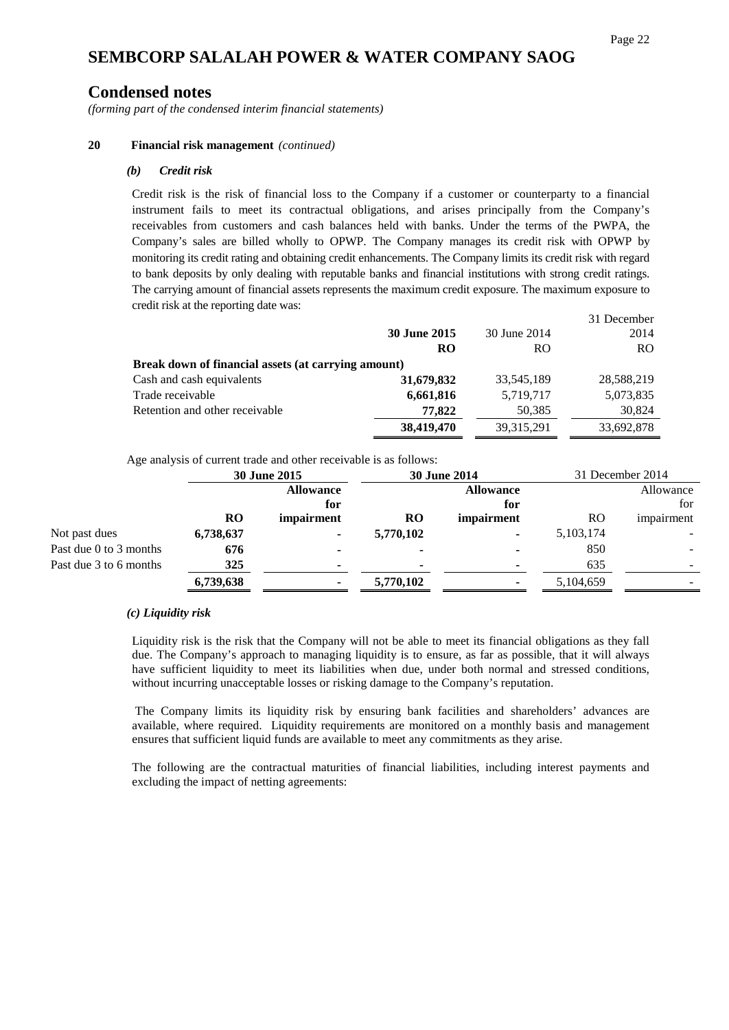### **Condensed notes**

*(forming part of the condensed interim financial statements)*

#### **20 Financial risk management** *(continued)*

#### *(b) Credit risk*

Credit risk is the risk of financial loss to the Company if a customer or counterparty to a financial instrument fails to meet its contractual obligations, and arises principally from the Company's receivables from customers and cash balances held with banks. Under the terms of the PWPA, the Company's sales are billed wholly to OPWP. The Company manages its credit risk with OPWP by monitoring its credit rating and obtaining credit enhancements. The Company limits its credit risk with regard to bank deposits by only dealing with reputable banks and financial institutions with strong credit ratings. The carrying amount of financial assets represents the maximum credit exposure. The maximum exposure to credit risk at the reporting date was:  $21<sub>D</sub>$ 

|                     |                                                     | 31 December |
|---------------------|-----------------------------------------------------|-------------|
| <b>30 June 2015</b> | 30 June 2014                                        | 2014        |
| <b>RO</b>           | RO.                                                 | RO.         |
|                     |                                                     |             |
| 31,679,832          | 33,545,189                                          | 28,588,219  |
| 6,661,816           | 5,719,717                                           | 5,073,835   |
| 77.822              | 50,385                                              | 30,824      |
| 38,419,470          | 39, 315, 291                                        | 33,692,878  |
|                     | Break down of financial assets (at carrying amount) |             |

Age analysis of current trade and other receivable is as follows:

|                        | 30 June 2015 |                  | <b>30 June 2014</b> |                  | 31 December 2014 |            |
|------------------------|--------------|------------------|---------------------|------------------|------------------|------------|
|                        |              | <b>Allowance</b> |                     | <b>Allowance</b> |                  | Allowance  |
|                        |              | for              |                     | for              |                  | for        |
|                        | RO           | impairment       | <b>RO</b>           | impairment       | RO.              | impairment |
| Not past dues          | 6,738,637    |                  | 5,770,102           | ٠                | 5, 103, 174      |            |
| Past due 0 to 3 months | 676          |                  |                     |                  | 850              |            |
| Past due 3 to 6 months | 325          |                  |                     |                  | 635              |            |
|                        | 6,739,638    |                  | 5,770,102           |                  | 5,104,659        |            |

#### *(c) Liquidity risk*

Liquidity risk is the risk that the Company will not be able to meet its financial obligations as they fall due. The Company's approach to managing liquidity is to ensure, as far as possible, that it will always have sufficient liquidity to meet its liabilities when due, under both normal and stressed conditions, without incurring unacceptable losses or risking damage to the Company's reputation.

The Company limits its liquidity risk by ensuring bank facilities and shareholders' advances are available, where required. Liquidity requirements are monitored on a monthly basis and management ensures that sufficient liquid funds are available to meet any commitments as they arise.

The following are the contractual maturities of financial liabilities, including interest payments and excluding the impact of netting agreements: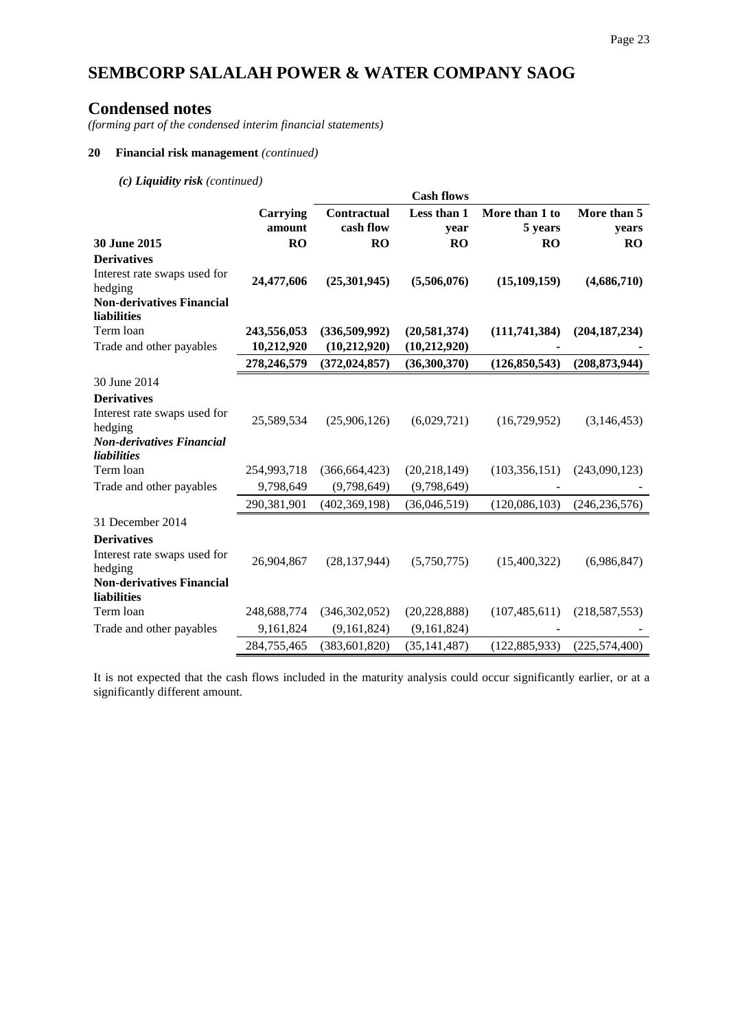## **Condensed notes**

*(forming part of the condensed interim financial statements)*

#### **20 Financial risk management** *(continued)*

*(c) Liquidity risk (continued)*

|                                                 |                    |                          | <b>Cash flows</b>   |                           |                      |
|-------------------------------------------------|--------------------|--------------------------|---------------------|---------------------------|----------------------|
|                                                 | Carrying<br>amount | Contractual<br>cash flow | Less than 1<br>year | More than 1 to<br>5 years | More than 5<br>years |
| 30 June 2015                                    | <b>RO</b>          | <b>RO</b>                | <b>RO</b>           | <b>RO</b>                 | RO                   |
| <b>Derivatives</b>                              |                    |                          |                     |                           |                      |
| Interest rate swaps used for<br>hedging         | 24,477,606         | (25,301,945)             | (5,506,076)         | (15, 109, 159)            | (4,686,710)          |
| <b>Non-derivatives Financial</b><br>liabilities |                    |                          |                     |                           |                      |
| Term loan                                       | 243,556,053        | (336,509,992)            | (20, 581, 374)      | (111,741,384)             | (204, 187, 234)      |
| Trade and other payables                        | 10,212,920         | (10,212,920)             | (10, 212, 920)      |                           |                      |
|                                                 | 278,246,579        | (372, 024, 857)          | (36,300,370)        | (126, 850, 543)           | (208, 873, 944)      |
| 30 June 2014                                    |                    |                          |                     |                           |                      |
| <b>Derivatives</b>                              |                    |                          |                     |                           |                      |
| Interest rate swaps used for<br>hedging         | 25,589,534         | (25,906,126)             | (6,029,721)         | (16,729,952)              | (3,146,453)          |
| <b>Non-derivatives Financial</b><br>liabilities |                    |                          |                     |                           |                      |
| Term loan                                       | 254,993,718        | (366, 664, 423)          | (20, 218, 149)      | (103, 356, 151)           | (243,090,123)        |
| Trade and other payables                        | 9,798,649          | (9,798,649)              | (9,798,649)         |                           |                      |
|                                                 | 290,381,901        | (402, 369, 198)          | (36,046,519)        | (120, 086, 103)           | (246, 236, 576)      |
| 31 December 2014                                |                    |                          |                     |                           |                      |
| <b>Derivatives</b>                              |                    |                          |                     |                           |                      |
| Interest rate swaps used for<br>hedging         | 26,904,867         | (28, 137, 944)           | (5,750,775)         | (15,400,322)              | (6,986,847)          |
| <b>Non-derivatives Financial</b><br>liabilities |                    |                          |                     |                           |                      |
| Term loan                                       | 248,688,774        | (346, 302, 052)          | (20, 228, 888)      | (107, 485, 611)           | (218, 587, 553)      |
| Trade and other payables                        | 9,161,824          | (9,161,824)              | (9,161,824)         |                           |                      |
|                                                 | 284,755,465        | (383, 601, 820)          | (35, 141, 487)      | (122, 885, 933)           | (225, 574, 400)      |

It is not expected that the cash flows included in the maturity analysis could occur significantly earlier, or at a significantly different amount.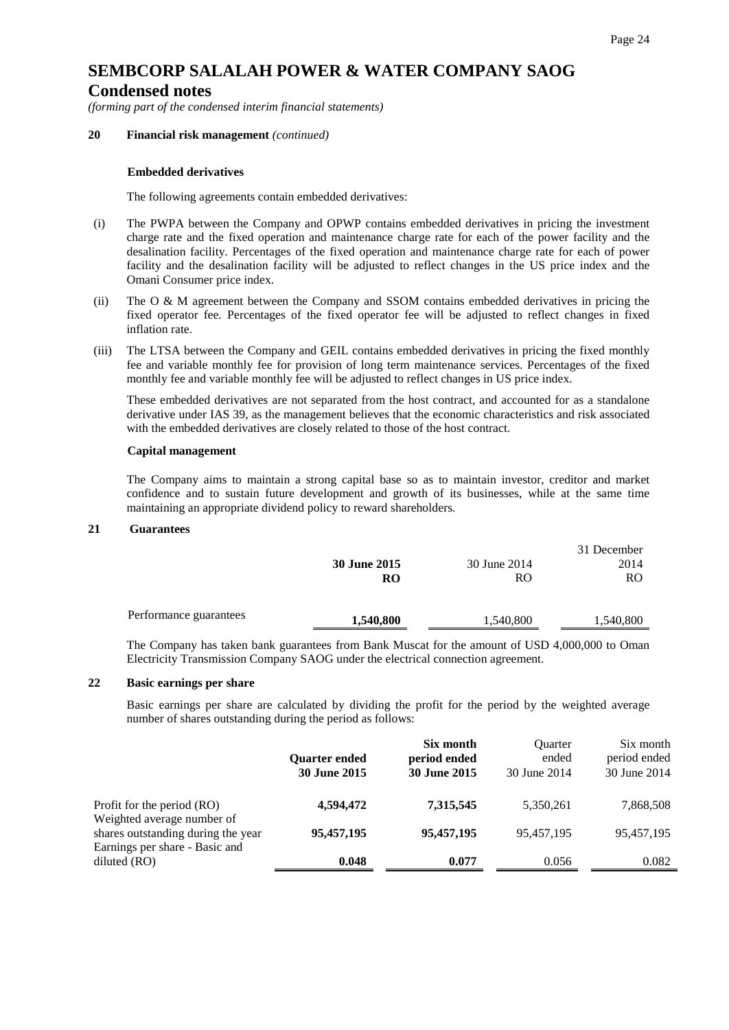## **SEMBCORP SALALAH POWER & WATER COMPANY SAOG Condensed notes**

*(forming part of the condensed interim financial statements)*

#### **20 Financial risk management** *(continued)*

#### **Embedded derivatives**

The following agreements contain embedded derivatives:

- (i) The PWPA between the Company and OPWP contains embedded derivatives in pricing the investment charge rate and the fixed operation and maintenance charge rate for each of the power facility and the desalination facility. Percentages of the fixed operation and maintenance charge rate for each of power facility and the desalination facility will be adjusted to reflect changes in the US price index and the Omani Consumer price index.
- (ii) The O & M agreement between the Company and SSOM contains embedded derivatives in pricing the fixed operator fee. Percentages of the fixed operator fee will be adjusted to reflect changes in fixed inflation rate.
- (iii) The LTSA between the Company and GEIL contains embedded derivatives in pricing the fixed monthly fee and variable monthly fee for provision of long term maintenance services. Percentages of the fixed monthly fee and variable monthly fee will be adjusted to reflect changes in US price index.

These embedded derivatives are not separated from the host contract, and accounted for as a standalone derivative under IAS 39, as the management believes that the economic characteristics and risk associated with the embedded derivatives are closely related to those of the host contract.

#### **Capital management**

The Company aims to maintain a strong capital base so as to maintain investor, creditor and market confidence and to sustain future development and growth of its businesses, while at the same time maintaining an appropriate dividend policy to reward shareholders.

#### **21 Guarantees**

|                        | <b>30 June 2015</b> | 30 June 2014 | 31 December<br>2014 |
|------------------------|---------------------|--------------|---------------------|
|                        | RO                  | RO           | RO.                 |
| Performance guarantees | 1,540,800           | 1,540,800    | 1,540,800           |

The Company has taken bank guarantees from Bank Muscat for the amount of USD 4,000,000 to Oman Electricity Transmission Company SAOG under the electrical connection agreement.

#### **22 Basic earnings per share**

Basic earnings per share are calculated by dividing the profit for the period by the weighted average number of shares outstanding during the period as follows:

|                                                                                                    | <b>Ouarter ended</b><br><b>30 June 2015</b> | Six month<br>period ended<br><b>30 June 2015</b> | <b>Ouarter</b><br>ended<br>30 June 2014 | Six month<br>period ended<br>30 June 2014 |
|----------------------------------------------------------------------------------------------------|---------------------------------------------|--------------------------------------------------|-----------------------------------------|-------------------------------------------|
| Profit for the period (RO)                                                                         | 4,594,472                                   | 7,315,545                                        | 5,350,261                               | 7,868,508                                 |
| Weighted average number of<br>shares outstanding during the year<br>Earnings per share - Basic and | 95,457,195                                  | 95,457,195                                       | 95,457,195                              | 95,457,195                                |
| diluted $(RO)$                                                                                     | 0.048                                       | 0.077                                            | 0.056                                   | 0.082                                     |